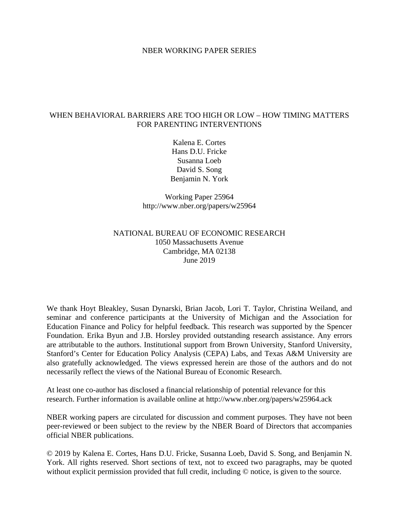#### NBER WORKING PAPER SERIES

## WHEN BEHAVIORAL BARRIERS ARE TOO HIGH OR LOW – HOW TIMING MATTERS FOR PARENTING INTERVENTIONS

Kalena E. Cortes Hans D.U. Fricke Susanna Loeb David S. Song Benjamin N. York

Working Paper 25964 http://www.nber.org/papers/w25964

## NATIONAL BUREAU OF ECONOMIC RESEARCH 1050 Massachusetts Avenue Cambridge, MA 02138 June 2019

We thank Hoyt Bleakley, Susan Dynarski, Brian Jacob, Lori T. Taylor, Christina Weiland, and seminar and conference participants at the University of Michigan and the Association for Education Finance and Policy for helpful feedback. This research was supported by the Spencer Foundation. Erika Byun and J.B. Horsley provided outstanding research assistance. Any errors are attributable to the authors. Institutional support from Brown University, Stanford University, Stanford's Center for Education Policy Analysis (CEPA) Labs, and Texas A&M University are also gratefully acknowledged. The views expressed herein are those of the authors and do not necessarily reflect the views of the National Bureau of Economic Research.

At least one co-author has disclosed a financial relationship of potential relevance for this research. Further information is available online at http://www.nber.org/papers/w25964.ack

NBER working papers are circulated for discussion and comment purposes. They have not been peer-reviewed or been subject to the review by the NBER Board of Directors that accompanies official NBER publications.

© 2019 by Kalena E. Cortes, Hans D.U. Fricke, Susanna Loeb, David S. Song, and Benjamin N. York. All rights reserved. Short sections of text, not to exceed two paragraphs, may be quoted without explicit permission provided that full credit, including  $\odot$  notice, is given to the source.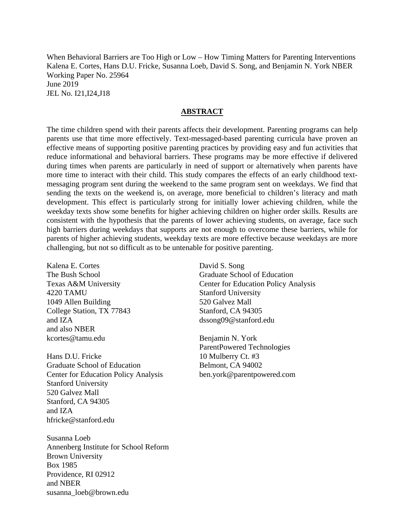When Behavioral Barriers are Too High or Low – How Timing Matters for Parenting Interventions Kalena E. Cortes, Hans D.U. Fricke, Susanna Loeb, David S. Song, and Benjamin N. York NBER Working Paper No. 25964 June 2019 JEL No. I21,I24,J18

### **ABSTRACT**

The time children spend with their parents affects their development. Parenting programs can help parents use that time more effectively. Text-messaged-based parenting curricula have proven an effective means of supporting positive parenting practices by providing easy and fun activities that reduce informational and behavioral barriers. These programs may be more effective if delivered during times when parents are particularly in need of support or alternatively when parents have more time to interact with their child. This study compares the effects of an early childhood textmessaging program sent during the weekend to the same program sent on weekdays. We find that sending the texts on the weekend is, on average, more beneficial to children's literacy and math development. This effect is particularly strong for initially lower achieving children, while the weekday texts show some benefits for higher achieving children on higher order skills. Results are consistent with the hypothesis that the parents of lower achieving students, on average, face such high barriers during weekdays that supports are not enough to overcome these barriers, while for parents of higher achieving students, weekday texts are more effective because weekdays are more challenging, but not so difficult as to be untenable for positive parenting.

Kalena E. Cortes The Bush School Texas A&M University 4220 TAMU 1049 Allen Building College Station, TX 77843 and IZA and also NBER kcortes@tamu.edu

Hans D.U. Fricke Graduate School of Education Center for Education Policy Analysis Stanford University 520 Galvez Mall Stanford, CA 94305 and IZA hfricke@stanford.edu

Susanna Loeb Annenberg Institute for School Reform Brown University Box 1985 Providence, RI 02912 and NBER susanna\_loeb@brown.edu

David S. Song Graduate School of Education Center for Education Policy Analysis Stanford University 520 Galvez Mall Stanford, CA 94305 dssong09@stanford.edu

Benjamin N. York ParentPowered Technologies 10 Mulberry Ct. #3 Belmont, CA 94002 ben.york@parentpowered.com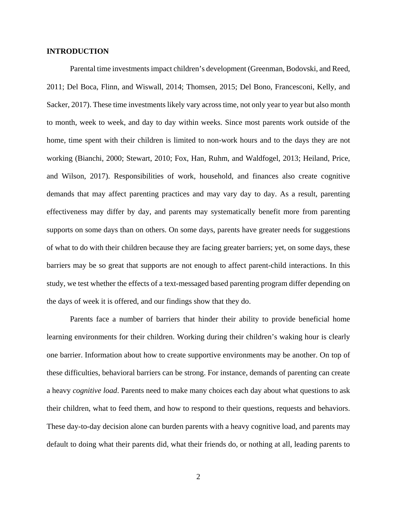### **INTRODUCTION**

Parental time investments impact children's development (Greenman, Bodovski, and Reed, 2011; Del Boca, Flinn, and Wiswall, 2014; Thomsen, 2015; Del Bono, Francesconi, Kelly, and Sacker, 2017). These time investments likely vary across time, not only year to year but also month to month, week to week, and day to day within weeks. Since most parents work outside of the home, time spent with their children is limited to non-work hours and to the days they are not working (Bianchi, 2000; Stewart, 2010; Fox, Han, Ruhm, and Waldfogel, 2013; Heiland, Price, and Wilson, 2017). Responsibilities of work, household, and finances also create cognitive demands that may affect parenting practices and may vary day to day. As a result, parenting effectiveness may differ by day, and parents may systematically benefit more from parenting supports on some days than on others. On some days, parents have greater needs for suggestions of what to do with their children because they are facing greater barriers; yet, on some days, these barriers may be so great that supports are not enough to affect parent-child interactions. In this study, we test whether the effects of a text-messaged based parenting program differ depending on the days of week it is offered, and our findings show that they do.

Parents face a number of barriers that hinder their ability to provide beneficial home learning environments for their children. Working during their children's waking hour is clearly one barrier. Information about how to create supportive environments may be another. On top of these difficulties, behavioral barriers can be strong. For instance, demands of parenting can create a heavy *cognitive load*. Parents need to make many choices each day about what questions to ask their children, what to feed them, and how to respond to their questions, requests and behaviors. These day-to-day decision alone can burden parents with a heavy cognitive load, and parents may default to doing what their parents did, what their friends do, or nothing at all, leading parents to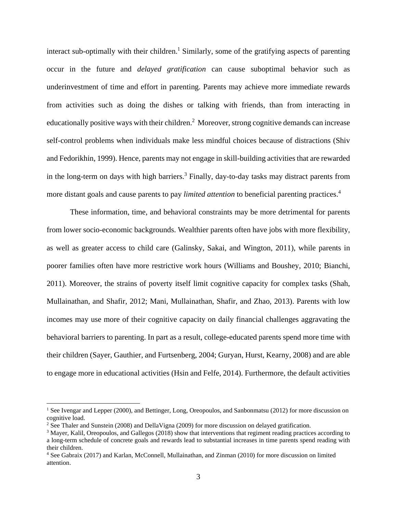interact sub-optimally with their children.<sup>1</sup> Similarly, some of the gratifying aspects of parenting occur in the future and *delayed gratification* can cause suboptimal behavior such as underinvestment of time and effort in parenting. Parents may achieve more immediate rewards from activities such as doing the dishes or talking with friends, than from interacting in educationally positive ways with their children.<sup>2</sup> Moreover, strong cognitive demands can increase self-control problems when individuals make less mindful choices because of distractions (Shiv and Fedorikhin, 1999). Hence, parents may not engage in skill-building activities that are rewarded in the long-term on days with high barriers.<sup>3</sup> Finally, day-to-day tasks may distract parents from more distant goals and cause parents to pay *limited attention* to beneficial parenting practices.4

These information, time, and behavioral constraints may be more detrimental for parents from lower socio-economic backgrounds. Wealthier parents often have jobs with more flexibility, as well as greater access to child care (Galinsky, Sakai, and Wington, 2011), while parents in poorer families often have more restrictive work hours (Williams and Boushey, 2010; Bianchi, 2011). Moreover, the strains of poverty itself limit cognitive capacity for complex tasks (Shah, Mullainathan, and Shafir, 2012; Mani, Mullainathan, Shafir, and Zhao, 2013). Parents with low incomes may use more of their cognitive capacity on daily financial challenges aggravating the behavioral barriers to parenting. In part as a result, college-educated parents spend more time with their children (Sayer, Gauthier, and Furtsenberg, 2004; Guryan, Hurst, Kearny, 2008) and are able to engage more in educational activities (Hsin and Felfe, 2014). Furthermore, the default activities

<sup>&</sup>lt;sup>1</sup> See Ivengar and Lepper (2000), and Bettinger, Long, Oreopoulos, and Sanbonmatsu (2012) for more discussion on cognitive load.

<sup>&</sup>lt;sup>2</sup> See Thaler and Sunstein (2008) and DellaVigna (2009) for more discussion on delayed gratification.

<sup>&</sup>lt;sup>3</sup> Mayer, Kalil, Oreopoulos, and Gallegos (2018) show that interventions that regiment reading practices according to a long-term schedule of concrete goals and rewards lead to substantial increases in time parents spend reading with their children.

<sup>4</sup> See Gabraix (2017) and Karlan, McConnell, Mullainathan, and Zinman (2010) for more discussion on limited attention.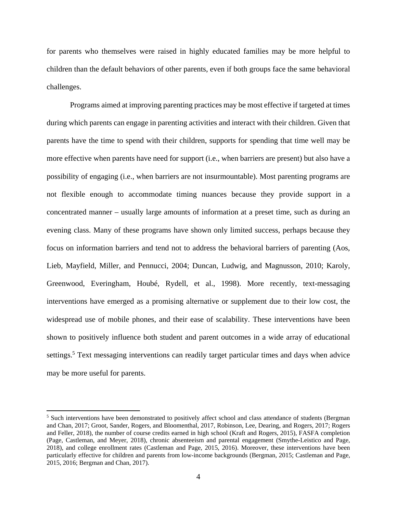for parents who themselves were raised in highly educated families may be more helpful to children than the default behaviors of other parents, even if both groups face the same behavioral challenges.

Programs aimed at improving parenting practices may be most effective if targeted at times during which parents can engage in parenting activities and interact with their children. Given that parents have the time to spend with their children, supports for spending that time well may be more effective when parents have need for support (i.e., when barriers are present) but also have a possibility of engaging (i.e., when barriers are not insurmountable). Most parenting programs are not flexible enough to accommodate timing nuances because they provide support in a concentrated manner – usually large amounts of information at a preset time, such as during an evening class. Many of these programs have shown only limited success, perhaps because they focus on information barriers and tend not to address the behavioral barriers of parenting (Aos, Lieb, Mayfield, Miller, and Pennucci, 2004; Duncan, Ludwig, and Magnusson, 2010; Karoly, Greenwood, Everingham, Houbé, Rydell, et al., 1998). More recently, text-messaging interventions have emerged as a promising alternative or supplement due to their low cost, the widespread use of mobile phones, and their ease of scalability. These interventions have been shown to positively influence both student and parent outcomes in a wide array of educational settings.<sup>5</sup> Text messaging interventions can readily target particular times and days when advice may be more useful for parents.

<sup>&</sup>lt;sup>5</sup> Such interventions have been demonstrated to positively affect school and class attendance of students (Bergman and Chan, 2017; Groot, Sander, Rogers, and Bloomenthal, 2017, Robinson, Lee, Dearing, and Rogers, 2017; Rogers and Feller, 2018), the number of course credits earned in high school (Kraft and Rogers, 2015), FASFA completion (Page, Castleman, and Meyer, 2018), chronic absenteeism and parental engagement (Smythe-Leistico and Page, 2018), and college enrollment rates (Castleman and Page, 2015, 2016). Moreover, these interventions have been particularly effective for children and parents from low-income backgrounds (Bergman, 2015; Castleman and Page, 2015, 2016; Bergman and Chan, 2017).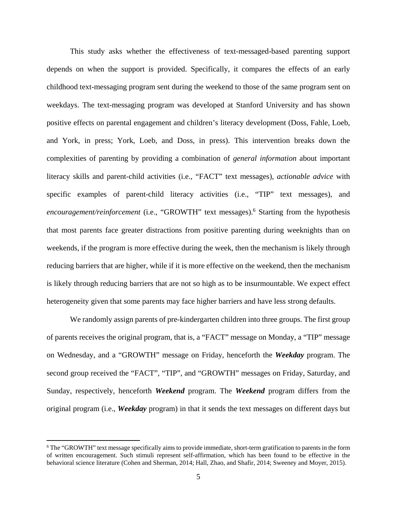This study asks whether the effectiveness of text-messaged-based parenting support depends on when the support is provided. Specifically, it compares the effects of an early childhood text-messaging program sent during the weekend to those of the same program sent on weekdays. The text-messaging program was developed at Stanford University and has shown positive effects on parental engagement and children's literacy development (Doss, Fahle, Loeb, and York, in press; York, Loeb, and Doss, in press). This intervention breaks down the complexities of parenting by providing a combination of *general information* about important literacy skills and parent-child activities (i.e., "FACT" text messages), *actionable advice* with specific examples of parent-child literacy activities (i.e., "TIP" text messages), and encouragement/reinforcement (i.e., "GROWTH" text messages).<sup>6</sup> Starting from the hypothesis that most parents face greater distractions from positive parenting during weeknights than on weekends, if the program is more effective during the week, then the mechanism is likely through reducing barriers that are higher, while if it is more effective on the weekend, then the mechanism is likely through reducing barriers that are not so high as to be insurmountable. We expect effect heterogeneity given that some parents may face higher barriers and have less strong defaults.

We randomly assign parents of pre-kindergarten children into three groups. The first group of parents receives the original program, that is, a "FACT" message on Monday, a "TIP" message on Wednesday, and a "GROWTH" message on Friday, henceforth the *Weekday* program. The second group received the "FACT", "TIP", and "GROWTH" messages on Friday, Saturday, and Sunday, respectively, henceforth *Weekend* program. The *Weekend* program differs from the original program (i.e., *Weekday* program) in that it sends the text messages on different days but

<sup>6</sup> The "GROWTH" text message specifically aims to provide immediate, short-term gratification to parents in the form of written encouragement. Such stimuli represent self-affirmation, which has been found to be effective in the behavioral science literature (Cohen and Sherman, 2014; Hall, Zhao, and Shafir, 2014; Sweeney and Moyer, 2015).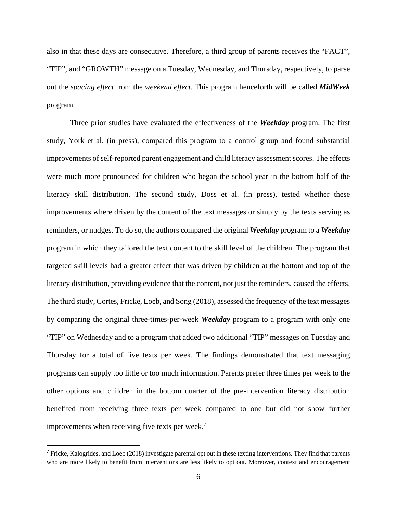also in that these days are consecutive. Therefore, a third group of parents receives the "FACT", "TIP", and "GROWTH" message on a Tuesday, Wednesday, and Thursday, respectively, to parse out the *spacing effect* from the *weekend effect*. This program henceforth will be called *MidWeek*  program.

Three prior studies have evaluated the effectiveness of the *Weekday* program. The first study, York et al. (in press), compared this program to a control group and found substantial improvements of self-reported parent engagement and child literacy assessment scores. The effects were much more pronounced for children who began the school year in the bottom half of the literacy skill distribution. The second study, Doss et al. (in press), tested whether these improvements where driven by the content of the text messages or simply by the texts serving as reminders, or nudges. To do so, the authors compared the original *Weekday* program to a *Weekday* program in which they tailored the text content to the skill level of the children. The program that targeted skill levels had a greater effect that was driven by children at the bottom and top of the literacy distribution, providing evidence that the content, not just the reminders, caused the effects. The third study, Cortes, Fricke, Loeb, and Song (2018), assessed the frequency of the text messages by comparing the original three-times-per-week *Weekday* program to a program with only one "TIP" on Wednesday and to a program that added two additional "TIP" messages on Tuesday and Thursday for a total of five texts per week. The findings demonstrated that text messaging programs can supply too little or too much information. Parents prefer three times per week to the other options and children in the bottom quarter of the pre-intervention literacy distribution benefited from receiving three texts per week compared to one but did not show further improvements when receiving five texts per week.<sup>7</sup>

 $<sup>7</sup>$  Fricke, Kalogrides, and Loeb (2018) investigate parental opt out in these texting interventions. They find that parents</sup> who are more likely to benefit from interventions are less likely to opt out. Moreover, context and encouragement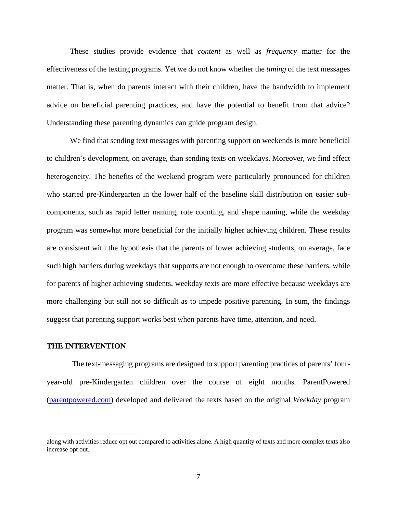These studies provide evidence that *content* as well as *frequency* matter for the effectiveness of the texting programs. Yet we do not know whether the *timing* of the text messages matter. That is, when do parents interact with their children, have the bandwidth to implement advice on beneficial parenting practices, and have the potential to benefit from that advice? Understanding these parenting dynamics can guide program design.

We find that sending text messages with parenting support on weekends is more beneficial to children's development, on average, than sending texts on weekdays. Moreover, we find effect heterogeneity. The benefits of the weekend program were particularly pronounced for children who started pre-Kindergarten in the lower half of the baseline skill distribution on easier subcomponents, such as rapid letter naming, rote counting, and shape naming, while the weekday program was somewhat more beneficial for the initially higher achieving children. These results are consistent with the hypothesis that the parents of lower achieving students, on average, face such high barriers during weekdays that supports are not enough to overcome these barriers, while for parents of higher achieving students, weekday texts are more effective because weekdays are more challenging but still not so difficult as to impede positive parenting. In sum, the findings suggest that parenting support works best when parents have time, attention, and need.

### **THE INTERVENTION**

The text-messaging programs are designed to support parenting practices of parents' fouryear-old pre-Kindergarten children over the course of eight months. ParentPowered (parentpowered.com) developed and delivered the texts based on the original *Weekday* program

along with activities reduce opt out compared to activities alone. A high quantity of texts and more complex texts also increase opt out.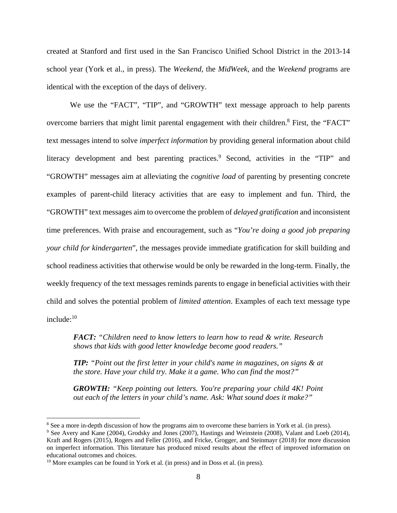created at Stanford and first used in the San Francisco Unified School District in the 2013-14 school year (York et al., in press). The *Weekend*, the *MidWeek*, and the *Weekend* programs are identical with the exception of the days of delivery.

We use the "FACT", "TIP", and "GROWTH" text message approach to help parents overcome barriers that might limit parental engagement with their children.<sup>8</sup> First, the "FACT" text messages intend to solve *imperfect information* by providing general information about child literacy development and best parenting practices.<sup>9</sup> Second, activities in the "TIP" and "GROWTH" messages aim at alleviating the *cognitive load* of parenting by presenting concrete examples of parent-child literacy activities that are easy to implement and fun. Third, the "GROWTH" text messages aim to overcome the problem of *delayed gratification* and inconsistent time preferences. With praise and encouragement, such as "*You're doing a good job preparing your child for kindergarten*", the messages provide immediate gratification for skill building and school readiness activities that otherwise would be only be rewarded in the long-term. Finally, the weekly frequency of the text messages reminds parents to engage in beneficial activities with their child and solves the potential problem of *limited attention*. Examples of each text message type include: $10$ 

*FACT: "Children need to know letters to learn how to read & write. Research shows that kids with good letter knowledge become good readers."*

*TIP: "Point out the first letter in your child's name in magazines, on signs & at the store. Have your child try. Make it a game. Who can find the most?"*

*GROWTH: "Keep pointing out letters. You're preparing your child 4K! Point out each of the letters in your child's name. Ask: What sound does it make?"* 

<sup>&</sup>lt;sup>8</sup> See a more in-depth discussion of how the programs aim to overcome these barriers in York et al. (in press).<br><sup>9</sup> See Avery and Kane (2004), Grodsky and Jones (2007), Hastings and Weinstein (2008), Valant and Loeb (

<sup>&</sup>lt;sup>9</sup> See Avery and Kane (2004), Grodsky and Jones (2007), Hastings and Weinstein (2008), Valant and Loeb (2014), Kraft and Rogers (2015), Rogers and Feller (2016), and Fricke, Grogger, and Steinmayr (2018) for more discussion on imperfect information. This literature has produced mixed results about the effect of improved information on educational outcomes and choices.

 $10$  More examples can be found in York et al. (in press) and in Doss et al. (in press).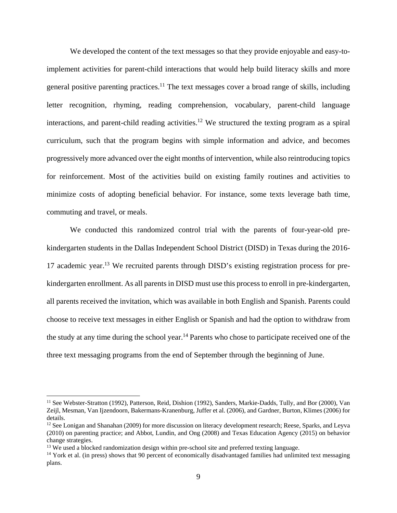We developed the content of the text messages so that they provide enjoyable and easy-toimplement activities for parent-child interactions that would help build literacy skills and more general positive parenting practices.<sup>11</sup> The text messages cover a broad range of skills, including letter recognition, rhyming, reading comprehension, vocabulary, parent-child language interactions, and parent-child reading activities.<sup>12</sup> We structured the texting program as a spiral curriculum, such that the program begins with simple information and advice, and becomes progressively more advanced over the eight months of intervention, while also reintroducing topics for reinforcement. Most of the activities build on existing family routines and activities to minimize costs of adopting beneficial behavior. For instance, some texts leverage bath time, commuting and travel, or meals.

We conducted this randomized control trial with the parents of four-year-old prekindergarten students in the Dallas Independent School District (DISD) in Texas during the 2016- 17 academic year.13 We recruited parents through DISD's existing registration process for prekindergarten enrollment. As all parents in DISD must use this process to enroll in pre-kindergarten, all parents received the invitation, which was available in both English and Spanish. Parents could choose to receive text messages in either English or Spanish and had the option to withdraw from the study at any time during the school year.<sup>14</sup> Parents who chose to participate received one of the three text messaging programs from the end of September through the beginning of June.

<sup>&</sup>lt;sup>11</sup> See Webster-Stratton (1992), Patterson, Reid, Dishion (1992), Sanders, Markie-Dadds, Tully, and Bor (2000), Van Zeijl, Mesman, Van Ijzendoorn, Bakermans-Kranenburg, Juffer et al. (2006), and Gardner, Burton, Klimes (2006) for details.

<sup>&</sup>lt;sup>12</sup> See Lonigan and Shanahan (2009) for more discussion on literacy development research; Reese, Sparks, and Leyva (2010) on parenting practice; and Abbot, Lundin, and Ong (2008) and Texas Education Agency (2015) on behavior change strategies.

<sup>&</sup>lt;sup>13</sup> We used a blocked randomization design within pre-school site and preferred texting language.

<sup>&</sup>lt;sup>14</sup> York et al. (in press) shows that 90 percent of economically disadvantaged families had unlimited text messaging plans.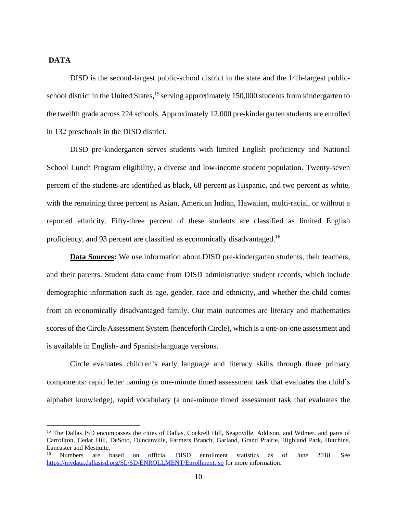### **DATA**

DISD is the second-largest public-school district in the state and the 14th-largest publicschool district in the United States,<sup>15</sup> serving approximately 150,000 students from kindergarten to the twelfth grade across 224 schools. Approximately 12,000 pre-kindergarten students are enrolled in 132 preschools in the DISD district.

DISD pre-kindergarten serves students with limited English proficiency and National School Lunch Program eligibility, a diverse and low-income student population. Twenty-seven percent of the students are identified as black, 68 percent as Hispanic, and two percent as white, with the remaining three percent as Asian, American Indian, Hawaiian, multi-racial, or without a reported ethnicity. Fifty-three percent of these students are classified as limited English proficiency, and 93 percent are classified as economically disadvantaged.16

**Data Sources:** We use information about DISD pre-kindergarten students, their teachers, and their parents. Student data come from DISD administrative student records, which include demographic information such as age, gender, race and ethnicity, and whether the child comes from an economically disadvantaged family. Our main outcomes are literacy and mathematics scores of the Circle Assessment System (henceforth Circle), which is a one-on-one assessment and is available in English- and Spanish-language versions.

Circle evaluates children's early language and literacy skills through three primary components: rapid letter naming (a one-minute timed assessment task that evaluates the child's alphabet knowledge), rapid vocabulary (a one-minute timed assessment task that evaluates the

<sup>&</sup>lt;sup>15</sup> The Dallas ISD encompasses the cities of Dallas, Cockrell Hill, Seagoville, Addison, and Wilmer, and parts of Carrollton, Cedar Hill, DeSoto, Duncanville, Farmers Branch, Garland, Grand Prairie, Highland Park, Hutchins, Lancaster and Mesquite.

<sup>16</sup> Numbers are based on official DISD enrollment statistics as of June 2018. See https://mydata.dallasisd.org/SL/SD/ENROLLMENT/Enrollment.jsp for more information.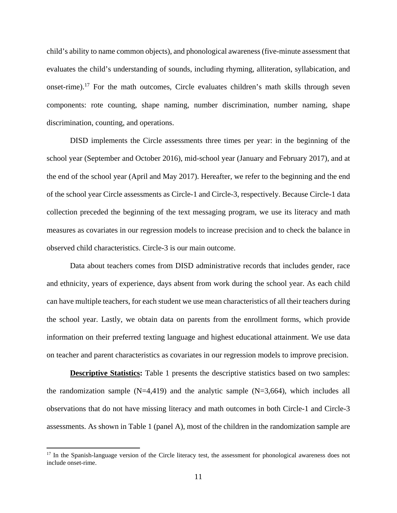child's ability to name common objects), and phonological awareness (five-minute assessment that evaluates the child's understanding of sounds, including rhyming, alliteration, syllabication, and onset-rime).17 For the math outcomes, Circle evaluates children's math skills through seven components: rote counting, shape naming, number discrimination, number naming, shape discrimination, counting, and operations.

DISD implements the Circle assessments three times per year: in the beginning of the school year (September and October 2016), mid-school year (January and February 2017), and at the end of the school year (April and May 2017). Hereafter, we refer to the beginning and the end of the school year Circle assessments as Circle-1 and Circle-3, respectively. Because Circle-1 data collection preceded the beginning of the text messaging program, we use its literacy and math measures as covariates in our regression models to increase precision and to check the balance in observed child characteristics. Circle-3 is our main outcome.

Data about teachers comes from DISD administrative records that includes gender, race and ethnicity, years of experience, days absent from work during the school year. As each child can have multiple teachers, for each student we use mean characteristics of all their teachers during the school year. Lastly, we obtain data on parents from the enrollment forms, which provide information on their preferred texting language and highest educational attainment. We use data on teacher and parent characteristics as covariates in our regression models to improve precision.

**Descriptive Statistics:** Table 1 presents the descriptive statistics based on two samples: the randomization sample  $(N=4,419)$  and the analytic sample  $(N=3,664)$ , which includes all observations that do not have missing literacy and math outcomes in both Circle-1 and Circle-3 assessments. As shown in Table 1 (panel A), most of the children in the randomization sample are

<sup>&</sup>lt;sup>17</sup> In the Spanish-language version of the Circle literacy test, the assessment for phonological awareness does not include onset-rime.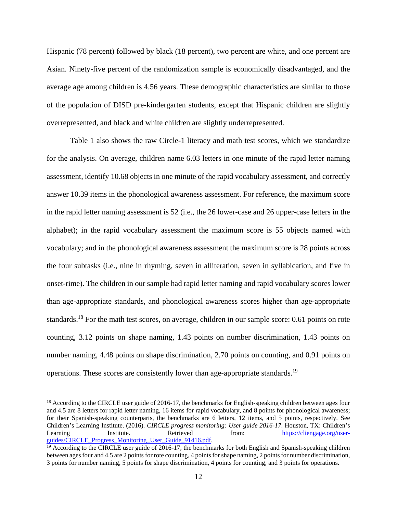Hispanic (78 percent) followed by black (18 percent), two percent are white, and one percent are Asian. Ninety-five percent of the randomization sample is economically disadvantaged, and the average age among children is 4.56 years. These demographic characteristics are similar to those of the population of DISD pre-kindergarten students, except that Hispanic children are slightly overrepresented, and black and white children are slightly underrepresented.

Table 1 also shows the raw Circle-1 literacy and math test scores, which we standardize for the analysis. On average, children name 6.03 letters in one minute of the rapid letter naming assessment, identify 10.68 objects in one minute of the rapid vocabulary assessment, and correctly answer 10.39 items in the phonological awareness assessment. For reference, the maximum score in the rapid letter naming assessment is 52 (i.e., the 26 lower-case and 26 upper-case letters in the alphabet); in the rapid vocabulary assessment the maximum score is 55 objects named with vocabulary; and in the phonological awareness assessment the maximum score is 28 points across the four subtasks (i.e., nine in rhyming, seven in alliteration, seven in syllabication, and five in onset-rime). The children in our sample had rapid letter naming and rapid vocabulary scores lower than age-appropriate standards, and phonological awareness scores higher than age-appropriate standards.<sup>18</sup> For the math test scores, on average, children in our sample score: 0.61 points on rote counting, 3.12 points on shape naming, 1.43 points on number discrimination, 1.43 points on number naming, 4.48 points on shape discrimination, 2.70 points on counting, and 0.91 points on operations. These scores are consistently lower than age-appropriate standards.19

<sup>&</sup>lt;sup>18</sup> According to the CIRCLE user guide of 2016-17, the benchmarks for English-speaking children between ages four and 4.5 are 8 letters for rapid letter naming, 16 items for rapid vocabulary, and 8 points for phonological awareness; for their Spanish-speaking counterparts, the benchmarks are 6 letters, 12 items, and 5 points, respectively. See Children's Learning Institute. (2016). *CIRCLE progress monitoring: User guide 2016-17*. Houston, TX: Children's Learning Institute. Retrieved from: https://cliengage.org/userguides/CIRCLE\_Progress\_Monitoring\_User\_Guide\_91416.pdf.<br><sup>19</sup> According to the CIRCLE user guide of 2016-17, the benchmarks for both English and Spanish-speaking children

between ages four and 4.5 are 2 points for rote counting, 4 points for shape naming, 2 points for number discrimination, 3 points for number naming, 5 points for shape discrimination, 4 points for counting, and 3 points for operations.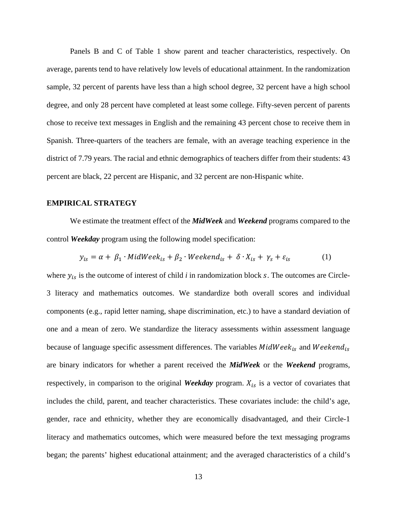Panels B and C of Table 1 show parent and teacher characteristics, respectively. On average, parents tend to have relatively low levels of educational attainment. In the randomization sample, 32 percent of parents have less than a high school degree, 32 percent have a high school degree, and only 28 percent have completed at least some college. Fifty-seven percent of parents chose to receive text messages in English and the remaining 43 percent chose to receive them in Spanish. Three-quarters of the teachers are female, with an average teaching experience in the district of 7.79 years. The racial and ethnic demographics of teachers differ from their students: 43 percent are black, 22 percent are Hispanic, and 32 percent are non-Hispanic white.

### **EMPIRICAL STRATEGY**

We estimate the treatment effect of the *MidWeek* and *Weekend* programs compared to the control *Weekday* program using the following model specification:

$$
y_{is} = \alpha + \beta_1 \cdot MidWeek_{is} + \beta_2 \cdot Weekend_{is} + \delta \cdot X_{is} + \gamma_s + \varepsilon_{is}
$$
 (1)

where  $y_{is}$  is the outcome of interest of child *i* in randomization block  $s$ . The outcomes are Circle-3 literacy and mathematics outcomes. We standardize both overall scores and individual components (e.g., rapid letter naming, shape discrimination, etc.) to have a standard deviation of one and a mean of zero. We standardize the literacy assessments within assessment language because of language specific assessment differences. The variables  $MidWeek_{is}$  and  $Weekend_{is}$ are binary indicators for whether a parent received the *MidWeek* or the *Weekend* programs, respectively, in comparison to the original *Weekday* program.  $X_{is}$  is a vector of covariates that includes the child, parent, and teacher characteristics. These covariates include: the child's age, gender, race and ethnicity, whether they are economically disadvantaged, and their Circle-1 literacy and mathematics outcomes, which were measured before the text messaging programs began; the parents' highest educational attainment; and the averaged characteristics of a child's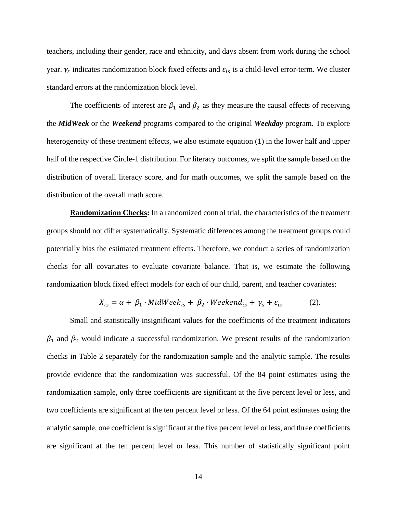teachers, including their gender, race and ethnicity, and days absent from work during the school year.  $\gamma_s$  indicates randomization block fixed effects and  $\varepsilon_{is}$  is a child-level error-term. We cluster standard errors at the randomization block level.

The coefficients of interest are  $\beta_1$  and  $\beta_2$  as they measure the causal effects of receiving the *MidWeek* or the *Weekend* programs compared to the original *Weekday* program. To explore heterogeneity of these treatment effects, we also estimate equation (1) in the lower half and upper half of the respective Circle-1 distribution. For literacy outcomes, we split the sample based on the distribution of overall literacy score, and for math outcomes, we split the sample based on the distribution of the overall math score.

**Randomization Checks:** In a randomized control trial, the characteristics of the treatment groups should not differ systematically. Systematic differences among the treatment groups could potentially bias the estimated treatment effects. Therefore, we conduct a series of randomization checks for all covariates to evaluate covariate balance. That is, we estimate the following randomization block fixed effect models for each of our child, parent, and teacher covariates:

$$
X_{is} = \alpha + \beta_1 \cdot MidWeek_{is} + \beta_2 \cdot Weekend_{is} + \gamma_s + \varepsilon_{is}
$$
 (2).

Small and statistically insignificant values for the coefficients of the treatment indicators  $\beta_1$  and  $\beta_2$  would indicate a successful randomization. We present results of the randomization checks in Table 2 separately for the randomization sample and the analytic sample. The results provide evidence that the randomization was successful. Of the 84 point estimates using the randomization sample, only three coefficients are significant at the five percent level or less, and two coefficients are significant at the ten percent level or less. Of the 64 point estimates using the analytic sample, one coefficient is significant at the five percent level or less, and three coefficients are significant at the ten percent level or less. This number of statistically significant point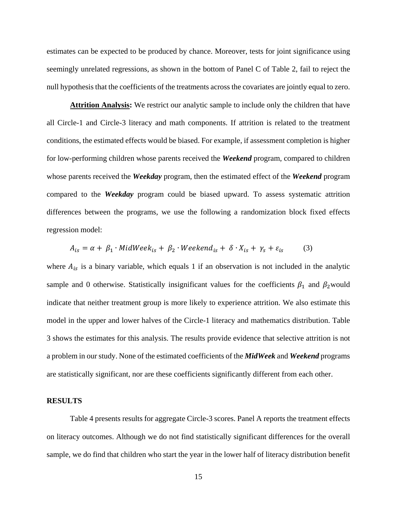estimates can be expected to be produced by chance. Moreover, tests for joint significance using seemingly unrelated regressions, as shown in the bottom of Panel C of Table 2, fail to reject the null hypothesis that the coefficients of the treatments across the covariates are jointly equal to zero.

**Attrition Analysis:** We restrict our analytic sample to include only the children that have all Circle-1 and Circle-3 literacy and math components. If attrition is related to the treatment conditions, the estimated effects would be biased. For example, if assessment completion is higher for low-performing children whose parents received the *Weekend* program, compared to children whose parents received the *Weekday* program, then the estimated effect of the *Weekend* program compared to the *Weekday* program could be biased upward. To assess systematic attrition differences between the programs, we use the following a randomization block fixed effects regression model:

$$
A_{is} = \alpha + \beta_1 \cdot MidWeek_{is} + \beta_2 \cdot Weekend_{is} + \delta \cdot X_{is} + \gamma_s + \varepsilon_{is}
$$
 (3)

where  $A_{is}$  is a binary variable, which equals 1 if an observation is not included in the analytic sample and 0 otherwise. Statistically insignificant values for the coefficients  $\beta_1$  and  $\beta_2$  would indicate that neither treatment group is more likely to experience attrition. We also estimate this model in the upper and lower halves of the Circle-1 literacy and mathematics distribution. Table 3 shows the estimates for this analysis. The results provide evidence that selective attrition is not a problem in our study. None of the estimated coefficients of the *MidWeek* and *Weekend* programs are statistically significant, nor are these coefficients significantly different from each other.

#### **RESULTS**

Table 4 presents results for aggregate Circle-3 scores. Panel A reports the treatment effects on literacy outcomes. Although we do not find statistically significant differences for the overall sample, we do find that children who start the year in the lower half of literacy distribution benefit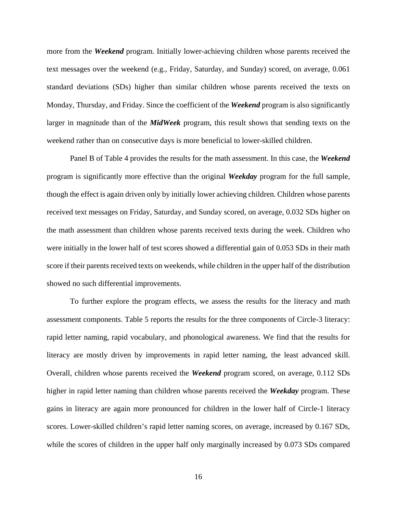more from the *Weekend* program. Initially lower-achieving children whose parents received the text messages over the weekend (e.g., Friday, Saturday, and Sunday) scored, on average, 0.061 standard deviations (SDs) higher than similar children whose parents received the texts on Monday, Thursday, and Friday. Since the coefficient of the *Weekend* program is also significantly larger in magnitude than of the *MidWeek* program, this result shows that sending texts on the weekend rather than on consecutive days is more beneficial to lower-skilled children.

Panel B of Table 4 provides the results for the math assessment. In this case, the *Weekend*  program is significantly more effective than the original *Weekday* program for the full sample, though the effect is again driven only by initially lower achieving children. Children whose parents received text messages on Friday, Saturday, and Sunday scored, on average, 0.032 SDs higher on the math assessment than children whose parents received texts during the week. Children who were initially in the lower half of test scores showed a differential gain of 0.053 SDs in their math score if their parents received texts on weekends, while children in the upper half of the distribution showed no such differential improvements.

To further explore the program effects, we assess the results for the literacy and math assessment components. Table 5 reports the results for the three components of Circle-3 literacy: rapid letter naming, rapid vocabulary, and phonological awareness. We find that the results for literacy are mostly driven by improvements in rapid letter naming, the least advanced skill. Overall, children whose parents received the *Weekend* program scored, on average, 0.112 SDs higher in rapid letter naming than children whose parents received the *Weekday* program. These gains in literacy are again more pronounced for children in the lower half of Circle-1 literacy scores. Lower-skilled children's rapid letter naming scores, on average, increased by 0.167 SDs, while the scores of children in the upper half only marginally increased by 0.073 SDs compared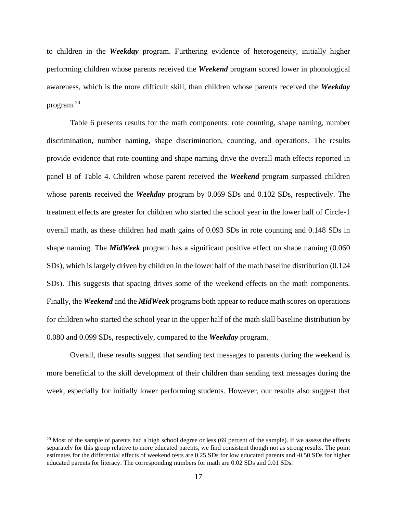to children in the *Weekday* program. Furthering evidence of heterogeneity, initially higher performing children whose parents received the *Weekend* program scored lower in phonological awareness, which is the more difficult skill, than children whose parents received the *Weekday* program.20

Table 6 presents results for the math components: rote counting, shape naming, number discrimination, number naming, shape discrimination, counting, and operations. The results provide evidence that rote counting and shape naming drive the overall math effects reported in panel B of Table 4. Children whose parent received the *Weekend* program surpassed children whose parents received the *Weekday* program by 0.069 SDs and 0.102 SDs, respectively. The treatment effects are greater for children who started the school year in the lower half of Circle-1 overall math, as these children had math gains of 0.093 SDs in rote counting and 0.148 SDs in shape naming. The *MidWeek* program has a significant positive effect on shape naming (0.060 SDs), which is largely driven by children in the lower half of the math baseline distribution (0.124 SDs). This suggests that spacing drives some of the weekend effects on the math components. Finally, the *Weekend* and the *MidWeek* programs both appear to reduce math scores on operations for children who started the school year in the upper half of the math skill baseline distribution by 0.080 and 0.099 SDs, respectively, compared to the *Weekday* program.

Overall, these results suggest that sending text messages to parents during the weekend is more beneficial to the skill development of their children than sending text messages during the week, especially for initially lower performing students. However, our results also suggest that

 $20$  Most of the sample of parents had a high school degree or less (69 percent of the sample). If we assess the effects separately for this group relative to more educated parents, we find consistent though not as strong results. The point estimates for the differential effects of weekend tests are 0.25 SDs for low educated parents and -0.50 SDs for higher educated parents for literacy. The corresponding numbers for math are 0.02 SDs and 0.01 SDs.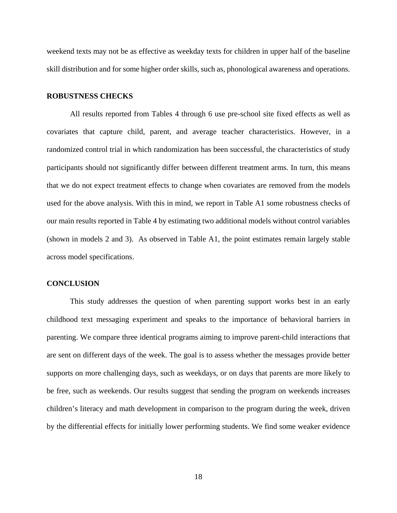weekend texts may not be as effective as weekday texts for children in upper half of the baseline skill distribution and for some higher order skills, such as, phonological awareness and operations.

### **ROBUSTNESS CHECKS**

All results reported from Tables 4 through 6 use pre-school site fixed effects as well as covariates that capture child, parent, and average teacher characteristics. However, in a randomized control trial in which randomization has been successful, the characteristics of study participants should not significantly differ between different treatment arms. In turn, this means that we do not expect treatment effects to change when covariates are removed from the models used for the above analysis. With this in mind, we report in Table A1 some robustness checks of our main results reported in Table 4 by estimating two additional models without control variables (shown in models 2 and 3). As observed in Table A1, the point estimates remain largely stable across model specifications.

#### **CONCLUSION**

This study addresses the question of when parenting support works best in an early childhood text messaging experiment and speaks to the importance of behavioral barriers in parenting. We compare three identical programs aiming to improve parent-child interactions that are sent on different days of the week. The goal is to assess whether the messages provide better supports on more challenging days, such as weekdays, or on days that parents are more likely to be free, such as weekends. Our results suggest that sending the program on weekends increases children's literacy and math development in comparison to the program during the week, driven by the differential effects for initially lower performing students. We find some weaker evidence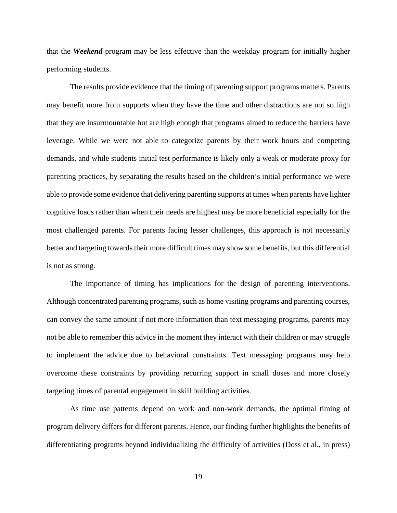that the *Weekend* program may be less effective than the weekday program for initially higher performing students.

The results provide evidence that the timing of parenting support programs matters. Parents may benefit more from supports when they have the time and other distractions are not so high that they are insurmountable but are high enough that programs aimed to reduce the barriers have leverage. While we were not able to categorize parents by their work hours and competing demands, and while students initial test performance is likely only a weak or moderate proxy for parenting practices, by separating the results based on the children's initial performance we were able to provide some evidence that delivering parenting supports at times when parents have lighter cognitive loads rather than when their needs are highest may be more beneficial especially for the most challenged parents. For parents facing lesser challenges, this approach is not necessarily better and targeting towards their more difficult times may show some benefits, but this differential is not as strong.

The importance of timing has implications for the design of parenting interventions. Although concentrated parenting programs, such as home visiting programs and parenting courses, can convey the same amount if not more information than text messaging programs, parents may not be able to remember this advice in the moment they interact with their children or may struggle to implement the advice due to behavioral constraints. Text messaging programs may help overcome these constraints by providing recurring support in small doses and more closely targeting times of parental engagement in skill building activities.

As time use patterns depend on work and non-work demands, the optimal timing of program delivery differs for different parents. Hence, our finding further highlights the benefits of differentiating programs beyond individualizing the difficulty of activities (Doss et al., in press)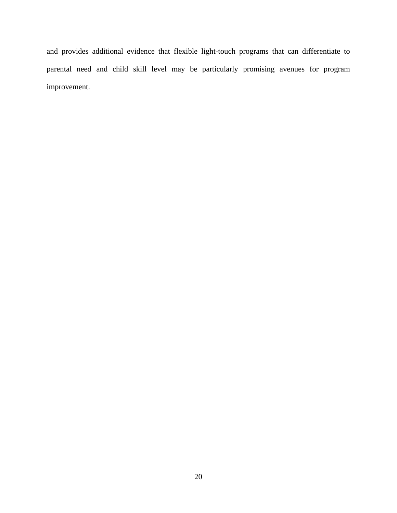and provides additional evidence that flexible light-touch programs that can differentiate to parental need and child skill level may be particularly promising avenues for program improvement.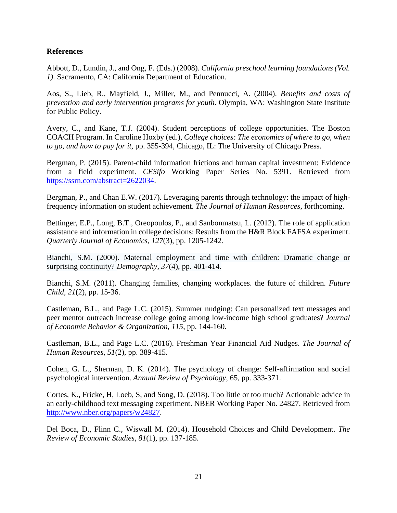# **References**

Abbott, D., Lundin, J., and Ong, F. (Eds.) (2008). *California preschool learning foundations (Vol. 1)*. Sacramento, CA: California Department of Education.

Aos, S., Lieb, R., Mayfield, J., Miller, M., and Pennucci, A. (2004). *Benefits and costs of prevention and early intervention programs for youth*. Olympia, WA: Washington State Institute for Public Policy.

Avery, C., and Kane, T.J. (2004). Student perceptions of college opportunities. The Boston COACH Program. In Caroline Hoxby (ed.), *College choices: The economics of where to go, when to go, and how to pay for it*, pp. 355-394, Chicago, IL: The University of Chicago Press.

Bergman, P. (2015). Parent-child information frictions and human capital investment: Evidence from a field experiment. *CESifo* Working Paper Series No. 5391. Retrieved from https://ssrn.com/abstract=2622034.

Bergman, P., and Chan E.W. (2017). Leveraging parents through technology: the impact of highfrequency information on student achievement. *The Journal of Human Resources*, forthcoming.

Bettinger, E.P., Long, B.T., Oreopoulos, P., and Sanbonmatsu, L. (2012). The role of application assistance and information in college decisions: Results from the H&R Block FAFSA experiment. *Quarterly Journal of Economics*, *127*(3), pp. 1205-1242.

Bianchi, S.M. (2000). Maternal employment and time with children: Dramatic change or surprising continuity? *Demography, 37*(4), pp. 401-414.

Bianchi, S.M. (2011). Changing families, changing workplaces. the future of children. *Future Child*, *21*(2), pp. 15-36.

Castleman, B.L., and Page L.C. (2015). Summer nudging: Can personalized text messages and peer mentor outreach increase college going among low-income high school graduates? *Journal of Economic Behavior & Organization*, *115*, pp. 144-160.

Castleman, B.L., and Page L.C. (2016). Freshman Year Financial Aid Nudges. *The Journal of Human Resources*, *51*(2), pp. 389-415.

Cohen, G. L., Sherman, D. K. (2014). The psychology of change: Self-affirmation and social psychological intervention. *Annual Review of Psychology*, 65, pp. 333-371.

Cortes, K., Fricke, H, Loeb, S, and Song, D. (2018). Too little or too much? Actionable advice in an early-childhood text messaging experiment. NBER Working Paper No. 24827. Retrieved from http://www.nber.org/papers/w24827.

Del Boca, D., Flinn C., Wiswall M. (2014). Household Choices and Child Development. *The Review of Economic Studies*, *81*(1), pp. 137-185.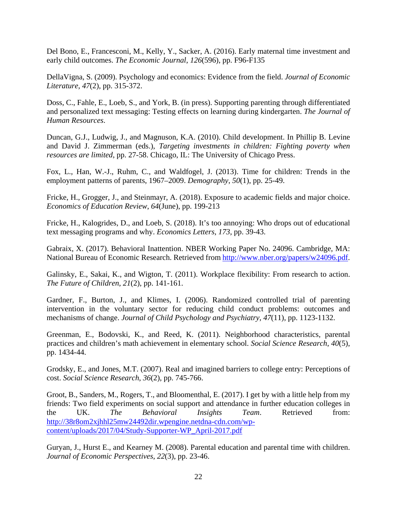Del Bono, E., Francesconi, M., Kelly, Y., Sacker, A. (2016). Early maternal time investment and early child outcomes. *The Economic Journal*, *126*(596), pp. F96-F135

DellaVigna, S. (2009). Psychology and economics: Evidence from the field. *Journal of Economic Literature*, *47*(2), pp. 315-372.

Doss, C., Fahle, E., Loeb, S., and York, B. (in press). Supporting parenting through differentiated and personalized text messaging: Testing effects on learning during kindergarten. *The Journal of Human Resources*.

Duncan, G.J., Ludwig, J., and Magnuson, K.A. (2010). Child development. In Phillip B. Levine and David J. Zimmerman (eds.), *Targeting investments in children: Fighting poverty when resources are limited*, pp. 27-58. Chicago, IL: The University of Chicago Press.

Fox, L., Han, W.-J., Ruhm, C., and Waldfogel, J. (2013). Time for children: Trends in the employment patterns of parents, 1967–2009. *Demography*, *50*(1), pp. 25-49.

Fricke, H., Grogger, J., and Steinmayr, A. (2018). Exposure to academic fields and major choice. *Economics of Education Review*, *64*(June), pp. 199-213

Fricke, H., Kalogrides, D., and Loeb, S. (2018). It's too annoying: Who drops out of educational text messaging programs and why. *Economics Letters*, *173*, pp. 39-43.

Gabraix, X. (2017). Behavioral Inattention. NBER Working Paper No. 24096. Cambridge, MA: National Bureau of Economic Research. Retrieved from http://www.nber.org/papers/w24096.pdf.

Galinsky, E., Sakai, K., and Wigton, T. (2011). Workplace flexibility: From research to action. *The Future of Children*, *21*(2), pp. 141-161.

Gardner, F., Burton, J., and Klimes, I. (2006). Randomized controlled trial of parenting intervention in the voluntary sector for reducing child conduct problems: outcomes and mechanisms of change. *Journal of Child Psychology and Psychiatry*, *47*(11), pp. 1123-1132.

Greenman, E., Bodovski, K., and Reed, K. (2011). Neighborhood characteristics, parental practices and children's math achievement in elementary school. *Social Science Research*, *40*(5), pp. 1434-44.

Grodsky, E., and Jones, M.T. (2007). Real and imagined barriers to college entry: Perceptions of cost. *Social Science Research*, *36*(2), pp. 745-766.

Groot, B., Sanders, M., Rogers, T., and Bloomenthal, E. (2017). I get by with a little help from my friends: Two field experiments on social support and attendance in further education colleges in the UK. *The Behavioral Insights Team*. Retrieved from: http://38r8om2xjhhl25mw24492dir.wpengine.netdna-cdn.com/wpcontent/uploads/2017/04/Study-Supporter-WP\_April-2017.pdf

Guryan, J., Hurst E., and Kearney M. (2008). Parental education and parental time with children. *Journal of Economic Perspectives*, *22*(3), pp. 23-46.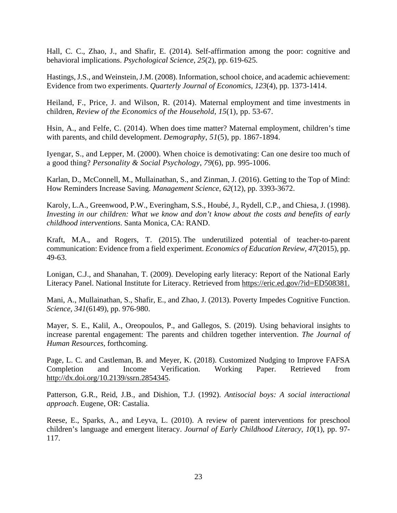Hall, C. C., Zhao, J., and Shafir, E. (2014). Self-affirmation among the poor: cognitive and behavioral implications. *Psychological Science*, *25*(2), pp. 619-625.

Hastings, J.S., and Weinstein, J.M. (2008). Information, school choice, and academic achievement: Evidence from two experiments. *Quarterly Journal of Economics*, *123*(4), pp. 1373-1414.

Heiland, F., Price, J. and Wilson, R. (2014). Maternal employment and time investments in children, *Review of the Economics of the Household*, *15*(1), pp. 53-67.

Hsin, A., and Felfe, C. (2014). When does time matter? Maternal employment, children's time with parents, and child development. *Demography*, *51*(5), pp. 1867-1894.

Iyengar, S., and Lepper, M. (2000). When choice is demotivating: Can one desire too much of a good thing? *Personality & Social Psychology*, *79*(6), pp. 995-1006.

Karlan, D., McConnell, M., Mullainathan, S., and Zinman, J. (2016). Getting to the Top of Mind: How Reminders Increase Saving. *Management Science*, *62*(12), pp. 3393-3672.

Karoly, L.A., Greenwood, P.W., Everingham, S.S., Houbé, J., Rydell, C.P., and Chiesa, J. (1998). *Investing in our children: What we know and don't know about the costs and benefits of early childhood interventions*. Santa Monica, CA: RAND.

Kraft, M.A., and Rogers, T. (2015). The underutilized potential of teacher-to-parent communication: Evidence from a field experiment. *Economics of Education Review*, *47*(2015), pp. 49-63.

Lonigan, C.J., and Shanahan, T. (2009). Developing early literacy: Report of the National Early Literacy Panel. National Institute for Literacy. Retrieved from https://eric.ed.gov/?id=ED508381.

Mani, A., Mullainathan, S., Shafir, E., and Zhao, J. (2013). Poverty Impedes Cognitive Function. *Science, 341*(6149), pp. 976-980.

Mayer, S. E., Kalil, A., Oreopoulos, P., and Gallegos, S. (2019). Using behavioral insights to increase parental engagement: The parents and children together intervention. *The Journal of Human Resources,* forthcoming.

Page, L. C. and Castleman, B. and Meyer, K. (2018). Customized Nudging to Improve FAFSA Completion and Income Verification. Working Paper. Retrieved from http://dx.doi.org/10.2139/ssrn.2854345.

Patterson, G.R., Reid, J.B., and Dishion, T.J. (1992). *Antisocial boys: A social interactional approach*. Eugene, OR: Castalia.

Reese, E., Sparks, A., and Leyva, L. (2010). A review of parent interventions for preschool children's language and emergent literacy. *Journal of Early Childhood Literacy*, *10*(1), pp. 97- 117.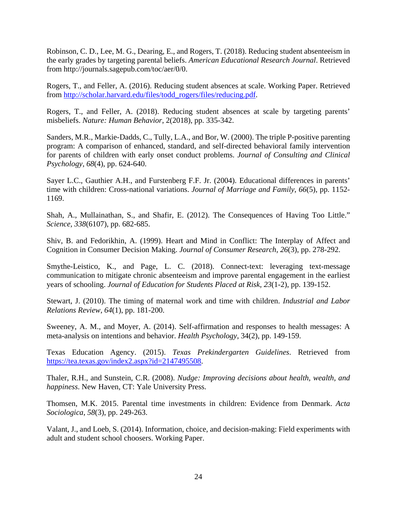Robinson, C. D., Lee, M. G., Dearing, E., and Rogers, T. (2018). Reducing student absenteeism in the early grades by targeting parental beliefs. *American Educational Research Journal*. Retrieved from http://journals.sagepub.com/toc/aer/0/0.

Rogers, T., and Feller, A. (2016). Reducing student absences at scale. Working Paper. Retrieved from http://scholar.harvard.edu/files/todd\_rogers/files/reducing.pdf.

Rogers, T., and Feller, A. (2018). Reducing student absences at scale by targeting parents' misbeliefs. *Nature: Human Behavior*, 2(2018), pp. 335-342.

Sanders, M.R., Markie-Dadds, C., Tully, L.A., and Bor, W. (2000). The triple P-positive parenting program: A comparison of enhanced, standard, and self-directed behavioral family intervention for parents of children with early onset conduct problems. *Journal of Consulting and Clinical Psychology*, *68*(4), pp. 624-640.

Sayer L.C., Gauthier A.H., and Furstenberg F.F. Jr. (2004). Educational differences in parents' time with children: Cross-national variations. *Journal of Marriage and Family*, *66*(5), pp. 1152- 1169.

Shah, A., Mullainathan, S., and Shafir, E. (2012). The Consequences of Having Too Little." *Science, 338*(6107), pp. 682-685.

Shiv, B. and Fedorikhin, A. (1999). Heart and Mind in Conflict: The Interplay of Affect and Cognition in Consumer Decision Making. *Journal of Consumer Research*, *26*(3), pp. 278-292.

Smythe-Leistico, K., and Page, L. C. (2018). Connect-text: leveraging text-message communication to mitigate chronic absenteeism and improve parental engagement in the earliest years of schooling. *Journal of Education for Students Placed at Risk*, *23*(1-2), pp. 139-152.

Stewart, J. (2010). The timing of maternal work and time with children. *Industrial and Labor Relations Review*, *64*(1), pp. 181-200.

Sweeney, A. M., and Moyer, A. (2014). Self-affirmation and responses to health messages: A meta-analysis on intentions and behavior. *Health Psychology*, 34(2), pp. 149-159.

Texas Education Agency. (2015). *Texas Prekindergarten Guidelines*. Retrieved from https://tea.texas.gov/index2.aspx?id=2147495508.

Thaler, R.H., and Sunstein, C.R. (2008). *Nudge: Improving decisions about health, wealth, and happiness*. New Haven, CT: Yale University Press.

Thomsen, M.K. 2015. Parental time investments in children: Evidence from Denmark. *Acta Sociologica*, *58*(3), pp. 249-263.

Valant, J., and Loeb, S. (2014). Information, choice, and decision-making: Field experiments with adult and student school choosers. Working Paper.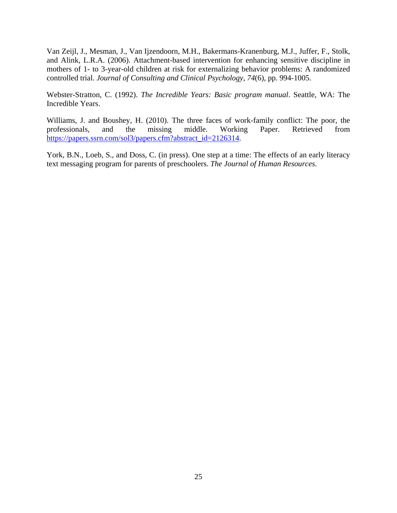Van Zeijl, J., Mesman, J., Van Ijzendoorn, M.H., Bakermans-Kranenburg, M.J., Juffer, F., Stolk, and Alink, L.R.A. (2006). Attachment-based intervention for enhancing sensitive discipline in mothers of 1- to 3-year-old children at risk for externalizing behavior problems: A randomized controlled trial. *Journal of Consulting and Clinical Psychology*, *74*(6), pp. 994-1005.

Webster-Stratton, C. (1992). *The Incredible Years: Basic program manual*. Seattle, WA: The Incredible Years.

Williams, J. and Boushey, H. (2010). The three faces of work-family conflict: The poor, the professionals, and the missing middle. Working Paper. Retrieved from https://papers.ssrn.com/sol3/papers.cfm?abstract\_id=2126314.

York, B.N., Loeb, S., and Doss, C. (in press). One step at a time: The effects of an early literacy text messaging program for parents of preschoolers. *The Journal of Human Resources*.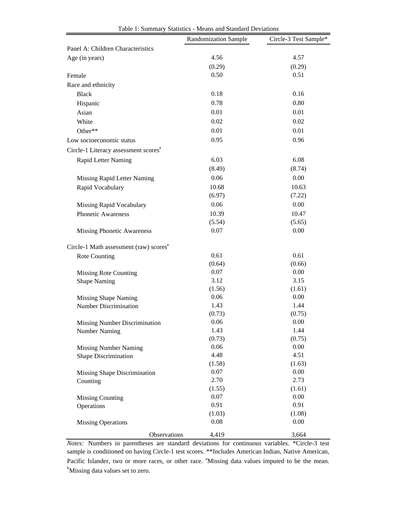|                                                              | Randomization Sample | Circle-3 Test Sample* |
|--------------------------------------------------------------|----------------------|-----------------------|
| Panel A: Children Characteristics                            |                      |                       |
| Age (in years)                                               | 4.56                 | 4.57                  |
|                                                              | (0.29)               | (0.29)                |
| Female                                                       | 0.50                 | 0.51                  |
| Race and ethnicity                                           |                      |                       |
| <b>Black</b>                                                 | 0.18                 | 0.16                  |
| Hispanic                                                     | 0.78                 | 0.80                  |
| Asian                                                        | 0.01                 | 0.01                  |
| White                                                        | 0.02                 | 0.02                  |
| Other**                                                      | 0.01                 | 0.01                  |
| Low socioeconomic status                                     | 0.95                 | 0.96                  |
| Circle-1 Literacy assessment scores <sup>a</sup>             |                      |                       |
| Rapid Letter Naming                                          | 6.03                 | 6.08                  |
|                                                              | (8.49)               | (8.74)                |
| Missing Rapid Letter Naming                                  | 0.06                 | 0.00                  |
| Rapid Vocabulary                                             | 10.68                | 10.63                 |
|                                                              | (6.97)               | (7.22)                |
| Missing Rapid Vocabulary                                     | 0.06                 | 0.00                  |
| Phonetic Awareness                                           | 10.39                | 10.47                 |
|                                                              | (5.54)               | (5.65)                |
| <b>Missing Phonetic Awareness</b>                            | 0.07                 | 0.00                  |
| Circle-1 Math assessment (raw) scores <sup>a</sup>           |                      |                       |
| <b>Rote Counting</b>                                         | 0.61                 | 0.61                  |
|                                                              | (0.64)               | (0.66)                |
| <b>Missing Rote Counting</b>                                 | 0.07                 | 0.00                  |
| <b>Shape Naming</b>                                          | 3.12                 | 3.15                  |
|                                                              | (1.56)               | (1.61)                |
| <b>Missing Shape Naming</b>                                  | 0.06                 | 0.00                  |
| <b>Number Discrimination</b>                                 | 1.43<br>(0.73)       | 1.44<br>(0.75)        |
|                                                              | 0.06                 | 0.00                  |
| <b>Missing Number Discrimination</b><br><b>Number Naming</b> | 1.43                 | 1.44                  |
|                                                              | (0.73)               | (0.75)                |
| <b>Missing Number Naming</b>                                 | 0.06                 | 0.00                  |
| Shape Discrimination                                         | 4.48                 | 4.51                  |
|                                                              | (1.58)               | (1.63)                |
| Missing Shape Discrimination                                 | 0.07                 | 0.00                  |
| Counting                                                     | 2.70                 | 2.73                  |
|                                                              | (1.55)               | (1.61)                |
| <b>Missing Counting</b>                                      | 0.07                 | 0.00                  |
| Operations                                                   | 0.91                 | 0.91                  |
|                                                              | (1.03)               | (1.08)                |
| <b>Missing Operations</b>                                    | 0.08                 | 0.00                  |
| Observations                                                 | 4,419                | 3,664                 |

Table 1: Summary Statistics - Means and Standard Deviations

*Notes:* Numbers in parentheses are standard deviations for continuous variables. \*Circle-3 test sample is conditioned on having Circle-1 test scores. \*\*Includes American Indian, Native American, Pacific Islander, two or more races, or other race. <sup>a</sup>Missing data values imputed to be the mean. <sup>b</sup>Missing data values set to zero.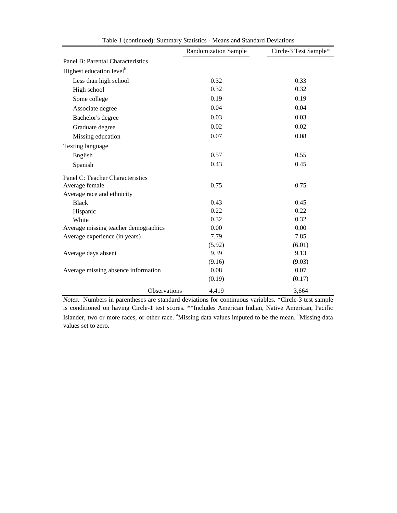|                                      | <b>Randomization Sample</b> | Circle-3 Test Sample* |
|--------------------------------------|-----------------------------|-----------------------|
| Panel B: Parental Characteristics    |                             |                       |
| Highest education level <sup>b</sup> |                             |                       |
| Less than high school                | 0.32                        | 0.33                  |
| High school                          | 0.32                        | 0.32                  |
| Some college                         | 0.19                        | 0.19                  |
| Associate degree                     | 0.04                        | 0.04                  |
| Bachelor's degree                    | 0.03                        | 0.03                  |
| Graduate degree                      | 0.02                        | 0.02                  |
| Missing education                    | 0.07                        | 0.08                  |
| Texting language                     |                             |                       |
| English                              | 0.57                        | 0.55                  |
| Spanish                              | 0.43                        | 0.45                  |
| Panel C: Teacher Characteristics     |                             |                       |
| Average female                       | 0.75                        | 0.75                  |
| Average race and ethnicity           |                             |                       |
| <b>Black</b>                         | 0.43                        | 0.45                  |
| Hispanic                             | 0.22                        | 0.22                  |
| White                                | 0.32                        | 0.32                  |
| Average missing teacher demographics | 0.00                        | 0.00                  |
| Average experience (in years)        | 7.79                        | 7.85                  |
|                                      | (5.92)                      | (6.01)                |
| Average days absent                  | 9.39                        | 9.13                  |
|                                      | (9.16)                      | (9.03)                |
| Average missing absence information  | 0.08                        | 0.07                  |
|                                      | (0.19)                      | (0.17)                |
| Observations                         | 4,419                       | 3,664                 |

Table 1 (continued): Summary Statistics - Means and Standard Deviations

*Notes:* Numbers in parentheses are standard deviations for continuous variables. \*Circle-3 test sample is conditioned on having Circle-1 test scores. \*\*Includes American Indian, Native American, Pacific Islander, two or more races, or other race. <sup>a</sup>Missing data values imputed to be the mean. <sup>b</sup>Missing data values set to zero.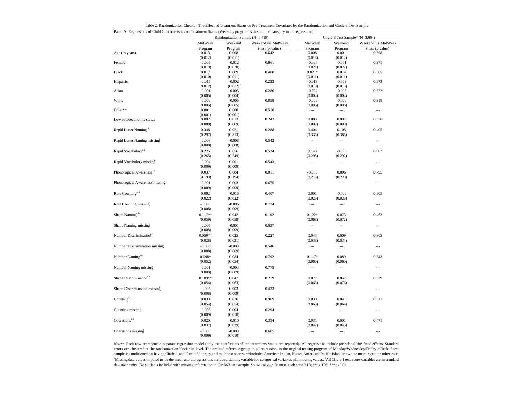|  | Table 2: Randomization Checks - The Effect of Treatment Status on Pre-Treatment Covariates by the Randomization and Circle-3 Test Sample |  |  |  |
|--|------------------------------------------------------------------------------------------------------------------------------------------|--|--|--|
|--|------------------------------------------------------------------------------------------------------------------------------------------|--|--|--|

| Panel A: Regressions of Child Characteristics on Treatment Status (Weekday program is the omitted category in all regressions) |                     |                                |                     |                          |                                 |                          |
|--------------------------------------------------------------------------------------------------------------------------------|---------------------|--------------------------------|---------------------|--------------------------|---------------------------------|--------------------------|
|                                                                                                                                |                     | Randomization Sample (N=4,419) |                     |                          | Circle-3 Test Sample* (N=3,664) |                          |
|                                                                                                                                | MidWeek             | Weekend                        | Weekend vs. MidWeek | MidWeek                  | Weekend                         | Weekend vs. MidWeek      |
|                                                                                                                                | Program             | Program                        | t-test (p-value)    | Program                  | Program                         | t-test (p-value)         |
| Age (in years)                                                                                                                 | 0.013               | 0.008                          | 0.642               | 0.008                    | 0.001                           | 0.568                    |
|                                                                                                                                | (0.012)             | (0.011)                        |                     | (0.013)                  | (0.012)                         |                          |
| Female                                                                                                                         | $-0.003$            | $-0.012$                       | 0.661               | $-0.000$                 | $-0.001$                        | 0.971                    |
| Black                                                                                                                          | (0.019)             | (0.020)                        |                     | (0.021)                  | (0.022)                         |                          |
|                                                                                                                                | 0.017               | 0.009                          | 0.400               | $0.021*$                 | 0.014                           | 0.505                    |
| Hispanic                                                                                                                       | (0.010)<br>$-0.015$ | (0.011)                        | 0.223               | (0.011)<br>$-0.019$      | (0.011)<br>$-0.009$             | 0.373                    |
|                                                                                                                                | (0.012)             | $-0.002$<br>(0.012)            |                     | (0.013)                  | (0.013)                         |                          |
| Asian                                                                                                                          | $-0.001$            | $-0.005$                       | 0.286               | $-0.004$                 | $-0.005$                        | 0.572                    |
|                                                                                                                                | (0.005)             | (0.004)                        |                     | (0.004)                  | (0.004)                         |                          |
| White                                                                                                                          | $-0.006$            | $-0.005$                       | 0.858               | $-0.006$                 | $-0.006$                        | 0.918                    |
|                                                                                                                                | (0.005)             | (0.005)                        |                     | (0.006)                  | (0.006)                         |                          |
| Other**                                                                                                                        | 0.001               | 0.000                          | 0.510               | $\hspace{0.05cm} \cdots$ | $\hspace{0.05cm} \cdots$        | $\overline{\phantom{a}}$ |
|                                                                                                                                | (0.001)             | (0.001)                        |                     |                          |                                 |                          |
| Low socioeconomic status                                                                                                       | 0.002               | 0.013                          | 0.243               | 0.003                    | 0.002                           | 0.976                    |
|                                                                                                                                | (0.008)             | (0.009)                        |                     | (0.007)                  | (0.009)                         |                          |
| Rapid Letter Naming <sup>a,b</sup>                                                                                             | 0.348               | 0.021                          | 0.288               | 0.404                    | 0.108                           | 0.405                    |
|                                                                                                                                | (0.297)             | (0.313)                        |                     | (0.336)                  | (0.385)                         |                          |
| Rapid Letter Naming missing                                                                                                    |                     |                                |                     |                          |                                 |                          |
|                                                                                                                                | $-0.003$            | $-0.008$                       | 0.542               | $\overline{\phantom{a}}$ | $\overline{\phantom{a}}$        | ---                      |
|                                                                                                                                | (0.008)             | (0.008)                        |                     |                          |                                 |                          |
| Rapid Vocabulary <sup>a,b</sup>                                                                                                | 0.225               | 0.056                          | 0.524               | 0.143                    | $-0.008$                        | 0.602                    |
|                                                                                                                                | (0.265)             | (0.249)                        |                     | (0.295)                  | (0.292)                         |                          |
| Rapid Vocabulary missing                                                                                                       | $-0.004$            | 0.001                          | 0.543               | $\overline{\phantom{a}}$ | $\overline{a}$                  | $\overline{a}$           |
|                                                                                                                                | (0.009)             | (0.009)                        |                     |                          |                                 |                          |
| Phonological Awareness <sup>a,b</sup>                                                                                          | 0.037               | 0.084                          | 0.811               | $-0.050$                 | 0.006                           | 0.795                    |
|                                                                                                                                | (0.199)             | (0.194)                        |                     | (0.218)                  | (0.220)                         |                          |
| Phonological Awareness missing                                                                                                 | $-0.001$            | 0.003                          | 0.675               | ---                      | ---                             | $\overline{a}$           |
|                                                                                                                                | (0.009)             | (0.009)                        |                     |                          |                                 |                          |
| Rote Counting <sup>a,b</sup>                                                                                                   | 0.002               | $-0.016$                       | 0.407               | 0.001                    | $-0.006$                        | 0.805                    |
|                                                                                                                                | (0.022)             | (0.022)                        |                     | (0.026)                  | (0.026)                         |                          |
| Rote Counting missing                                                                                                          | $-0.003$            | $-0.006$                       | 0.734               | $\overline{\phantom{a}}$ | $\overline{\phantom{a}}$        | $\overline{a}$           |
|                                                                                                                                | (0.008)             | (0.009)                        |                     |                          |                                 |                          |
|                                                                                                                                |                     |                                |                     |                          |                                 |                          |
| Shape Naming <sup>a,b</sup>                                                                                                    | $0.117**$           | 0.042                          | 0.192               | $0.122*$                 | 0.073                           | 0.463                    |
|                                                                                                                                | (0.059)             | (0.058)                        |                     | (0.068)                  | (0.072)                         |                          |
| Shape Naming missing                                                                                                           | $-0.005$            | $-0.001$                       | 0.637               | $\overline{\phantom{a}}$ | $\overline{\phantom{a}}$        | $\overline{a}$           |
|                                                                                                                                | (0.008)             | (0.009)                        |                     |                          |                                 |                          |
| Number Discrimination <sup>a,b</sup>                                                                                           | $0.059**$           | 0.025                          | 0.227               | 0.043                    | 0.009                           | 0.305                    |
|                                                                                                                                | (0.028)             | (0.031)                        |                     | (0.033)                  | (0.034)                         |                          |
| Number Discrimination missing                                                                                                  | $-0.006$            | $-0.000$                       | 0.546               | $\hspace{0.05cm} \cdots$ | $\overline{\phantom{a}}$        | $\overline{\phantom{a}}$ |
|                                                                                                                                | (0.008)             | (0.009)                        |                     |                          |                                 |                          |
| Number Naming <sup>a,b</sup>                                                                                                   | $0.098*$            | 0.084                          | 0.792               | $0.117*$                 | 0.089                           | 0.643                    |
|                                                                                                                                | (0.052)             | (0.054)                        |                     | (0.060)                  | (0.060)                         |                          |
| Number Naming missing                                                                                                          | $-0.001$            | $-0.003$                       | 0.775               | $\hspace{0.05cm} \cdots$ | $\overline{\phantom{a}}$        | ---                      |
|                                                                                                                                | (0.008)             | (0.009)                        |                     |                          |                                 |                          |
| Shape Discrimination <sup>a,b</sup>                                                                                            | $0.109**$           | 0.042                          | 0.279               | 0.077                    | 0.042                           | 0.629                    |
|                                                                                                                                | (0.054)             | (0.063)                        |                     | (0.063)                  | (0.076)                         |                          |
|                                                                                                                                |                     |                                | 0.433               |                          |                                 |                          |
| Shape Discrimination missing                                                                                                   | $-0.005$            | 0.003                          |                     | $\overline{\phantom{a}}$ | $\overline{\phantom{a}}$        | ---                      |
|                                                                                                                                | (0.008)             | (0.009)                        |                     |                          |                                 |                          |
| Counting <sup>a,b</sup>                                                                                                        | 0.033               | 0.026                          | 0.909               | 0.033                    | 0.041                           | 0.911                    |
|                                                                                                                                | (0.054)             | (0.054)                        |                     | (0.063)                  | (0.064)                         |                          |
| Counting missing                                                                                                               | $-0.006$            | 0.004                          | 0.294               | $\overline{\phantom{a}}$ | $\overline{\phantom{a}}$        | $\overline{a}$           |
|                                                                                                                                | (0.009)             | (0.010)                        |                     |                          |                                 |                          |
| Operations <sup>a,b</sup>                                                                                                      | 0.020               | $-0.010$                       | 0.394               | 0.031                    | 0.001                           | 0.471                    |
|                                                                                                                                | (0.037)             | (0.039)                        |                     | (0.042)                  | (0.046)                         |                          |
| Operations missing                                                                                                             | $-0.005$            | $-0.000$                       | 0.605               | $\sim$                   | $\overline{a}$                  | $\overline{a}$           |
|                                                                                                                                | (0.009)             | (0.010)                        |                     |                          |                                 |                          |

*Notes:* Each row represents <sup>a</sup> separate regression model (only the coefficients of the treatments status are reported). All regressions include pre-school site fixed effects. Standard errors are clustered at the randomization block site level. The omitted reference group in all regressions is the original texting program of Monday/Wednesday/Friday.\*Circle-3 test sample is conditioned on having Circle-1 and Circle-3 literacy and math test scores. \*\*Includes American Indian, Native American, Pacific Islander, two or more races, or other race. <sup>a</sup>Missing data values imputed to be the mean and all regressions include a dummy variable for categorical variables with missing values. <sup>b</sup>All Circle-1 test score variables are in standard deviation units. No students included with missing information in Circle-3 test sample. Statistical significance levels: \*p<0.01; \*\*p<0.05; \*\*\*p<0.01.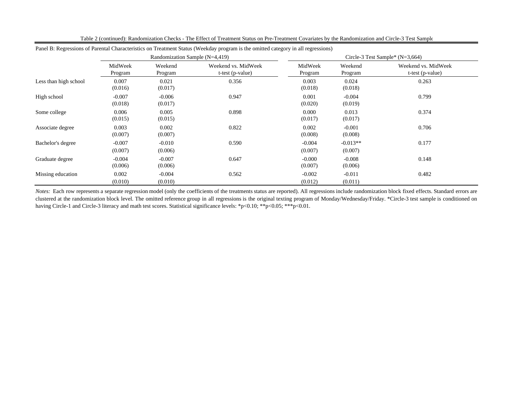|                       |                     |                                | Panel B: Regressions of Parental Characteristics on Treatment Status (Weekday program is the omitted category in all regressions) |                     |                                   |                                           |  |  |
|-----------------------|---------------------|--------------------------------|-----------------------------------------------------------------------------------------------------------------------------------|---------------------|-----------------------------------|-------------------------------------------|--|--|
|                       |                     | Randomization Sample (N=4,419) |                                                                                                                                   |                     | Circle-3 Test Sample* $(N=3,664)$ |                                           |  |  |
|                       | MidWeek<br>Program  | Weekend<br>Program             | Weekend vs. MidWeek<br>$t-test (p-value)$                                                                                         | MidWeek<br>Program  | Weekend<br>Program                | Weekend vs. MidWeek<br>$t-test (p-value)$ |  |  |
| Less than high school | 0.007<br>(0.016)    | 0.021<br>(0.017)               | 0.356                                                                                                                             | 0.003<br>(0.018)    | 0.024<br>(0.018)                  | 0.263                                     |  |  |
| High school           | $-0.007$<br>(0.018) | $-0.006$<br>(0.017)            | 0.947                                                                                                                             | 0.001<br>(0.020)    | $-0.004$<br>(0.019)               | 0.799                                     |  |  |
| Some college          | 0.006<br>(0.015)    | 0.005<br>(0.015)               | 0.898                                                                                                                             | 0.000<br>(0.017)    | 0.013<br>(0.017)                  | 0.374                                     |  |  |
| Associate degree      | 0.003<br>(0.007)    | 0.002<br>(0.007)               | 0.822                                                                                                                             | 0.002<br>(0.008)    | $-0.001$<br>(0.008)               | 0.706                                     |  |  |
| Bachelor's degree     | $-0.007$<br>(0.007) | $-0.010$<br>(0.006)            | 0.590                                                                                                                             | $-0.004$<br>(0.007) | $-0.013**$<br>(0.007)             | 0.177                                     |  |  |
| Graduate degree       | $-0.004$<br>(0.006) | $-0.007$<br>(0.006)            | 0.647                                                                                                                             | $-0.000$<br>(0.007) | $-0.008$<br>(0.006)               | 0.148                                     |  |  |
| Missing education     | 0.002<br>(0.010)    | $-0.004$<br>(0.010)            | 0.562                                                                                                                             | $-0.002$<br>(0.012) | $-0.011$<br>(0.011)               | 0.482                                     |  |  |

Table 2 (continued): Randomization Checks - The Effect of Treatment Status on Pre-Treatment Covariates by the Randomization and Circle-3 Test Sample

Notes: Each row represents a separate regression model (only the coefficients of the treatments status are reported). All regressions include randomization block fixed effects. Standard errors are clustered at the randomization block level. The omitted reference group in all regressions is the original texting program of Monday/Wednesday/Friday. \*Circle-3 test sample is conditioned on having Circle-1 and Circle-3 literacy and math test scores. Statistical significance levels: \*p<0.10; \*\*p<0.05; \*\*\*p<0.01.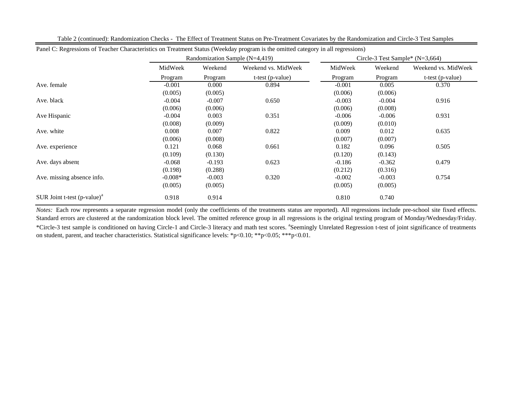| Panel C: Regressions of Teacher Characteristics on Treatment Status (Weekday program is the omitted category in all regressions) |           |                                |                     |                                   |          |                     |
|----------------------------------------------------------------------------------------------------------------------------------|-----------|--------------------------------|---------------------|-----------------------------------|----------|---------------------|
|                                                                                                                                  |           | Randomization Sample (N=4,419) |                     | Circle-3 Test Sample* $(N=3,664)$ |          |                     |
|                                                                                                                                  | MidWeek   | Weekend                        | Weekend vs. MidWeek | MidWeek                           | Weekend  | Weekend vs. MidWeek |
|                                                                                                                                  | Program   | Program                        | t-test (p-value)    | Program                           | Program  | t-test (p-value)    |
| Ave. female                                                                                                                      | $-0.001$  | 0.000                          | 0.894               | $-0.001$                          | 0.005    | 0.370               |
|                                                                                                                                  | (0.005)   | (0.005)                        |                     | (0.006)                           | (0.006)  |                     |
| Ave. black                                                                                                                       | $-0.004$  | $-0.007$                       | 0.650               | $-0.003$                          | $-0.004$ | 0.916               |
|                                                                                                                                  | (0.006)   | (0.006)                        |                     | (0.006)                           | (0.008)  |                     |
| Ave Hispanic                                                                                                                     | $-0.004$  | 0.003                          | 0.351               | $-0.006$                          | $-0.006$ | 0.931               |
|                                                                                                                                  | (0.008)   | (0.009)                        |                     | (0.009)                           | (0.010)  |                     |
| Ave. white                                                                                                                       | 0.008     | 0.007                          | 0.822               | 0.009                             | 0.012    | 0.635               |
|                                                                                                                                  | (0.006)   | (0.008)                        |                     | (0.007)                           | (0.007)  |                     |
| Ave. experience                                                                                                                  | 0.121     | 0.068                          | 0.661               | 0.182                             | 0.096    | 0.505               |
|                                                                                                                                  | (0.109)   | (0.130)                        |                     | (0.120)                           | (0.143)  |                     |
| Ave. days absent                                                                                                                 | $-0.068$  | $-0.193$                       | 0.623               | $-0.186$                          | $-0.362$ | 0.479               |
|                                                                                                                                  | (0.198)   | (0.288)                        |                     | (0.212)                           | (0.316)  |                     |
| Ave. missing absence info.                                                                                                       | $-0.008*$ | $-0.003$                       | 0.320               | $-0.002$                          | $-0.003$ | 0.754               |
|                                                                                                                                  | (0.005)   | (0.005)                        |                     | (0.005)                           | (0.005)  |                     |
| SUR Joint t-test $(p-value)^a$                                                                                                   | 0.918     | 0.914                          |                     | 0.810                             | 0.740    |                     |

Table 2 (continued): Randomization Checks - The Effect of Treatment Status on Pre-Treatment Covariates by the Randomization and Circle-3 Test Samples

*Notes:* Each row represents <sup>a</sup> separate regression model (only the coefficients of the treatments status are reported). All regressions include pre-school site fixed effects. Standard errors are clustered at the randomization block level. The omitted reference group in all regressions is the original texting program of Monday/Wednesday/Friday. \*Circle-3 test sample is conditioned on having Circle-1 and Circle-3 literacy and math test scores. aSeemingly Unrelated Regression t-test of joint significance of treatments on student, parent, and teacher characteristics. Statistical significance levels: \*p<0.10; \*\*p<0.05; \*\*\*p<0.01.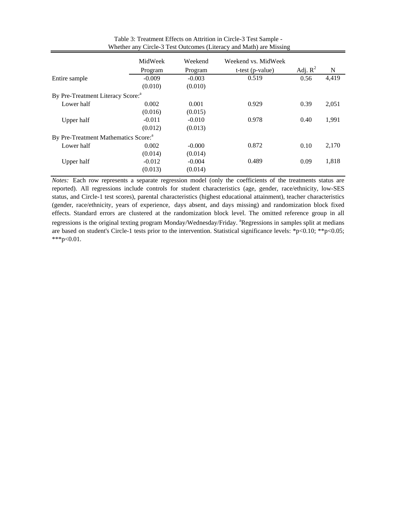|                                                  | MidWeek  | Weekend  | Weekend vs. MidWeek |            |       |
|--------------------------------------------------|----------|----------|---------------------|------------|-------|
|                                                  | Program  | Program  | $t-test (p-value)$  | Adj. $R^2$ | N     |
| Entire sample                                    | $-0.009$ | $-0.003$ | 0.519               | 0.56       | 4,419 |
|                                                  | (0.010)  | (0.010)  |                     |            |       |
| By Pre-Treatment Literacy Score: <sup>a</sup>    |          |          |                     |            |       |
| Lower half                                       | 0.002    | 0.001    | 0.929               | 0.39       | 2,051 |
|                                                  | (0.016)  | (0.015)  |                     |            |       |
| Upper half                                       | $-0.011$ | $-0.010$ | 0.978               | 0.40       | 1,991 |
|                                                  | (0.012)  | (0.013)  |                     |            |       |
| By Pre-Treatment Mathematics Score: <sup>a</sup> |          |          |                     |            |       |
| Lower half                                       | 0.002    | $-0.000$ | 0.872               | 0.10       | 2,170 |
|                                                  | (0.014)  | (0.014)  |                     |            |       |
| Upper half                                       | $-0.012$ | $-0.004$ | 0.489               | 0.09       | 1,818 |
|                                                  | (0.013)  | (0.014)  |                     |            |       |

 Whether any Circle-3 Test Outcomes (Literacy and Math) are Missing Table 3: Treatment Effects on Attrition in Circle-3 Test Sample -

*Notes:* Each row represents a separate regression model (only the coefficients of the treatments status are reported). All regressions include controls for student characteristics (age, gender, race/ethnicity, low-SES status, and Circle-1 test scores), parental characteristics (highest educational attainment), teacher characteristics (gender, race/ethnicity, years of experience, days absent, and days missing) and randomization block fixed effects. Standard errors are clustered at the randomization block level. The omitted reference group in all regressions is the original texting program Monday/Wednesday/Friday. <sup>a</sup>Regressions in samples split at medians are based on student's Circle-1 tests prior to the intervention. Statistical significance levels: \*p<0.10; \*\*p<0.05; \*\*\*p<0.01.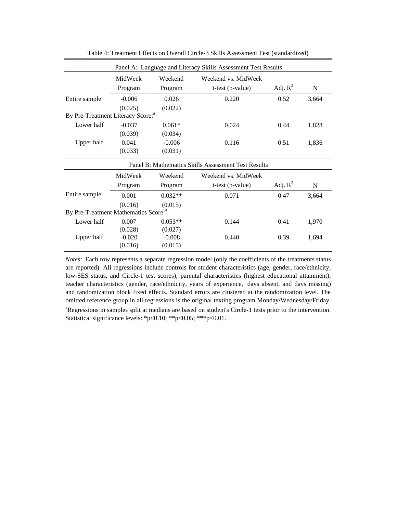|                                                  |          |           | Panel A: Language and Literacy Skills Assessment Test Results |            |       |
|--------------------------------------------------|----------|-----------|---------------------------------------------------------------|------------|-------|
|                                                  | MidWeek  | Weekend   | Weekend vs. MidWeek                                           |            |       |
|                                                  | Program  | Program   | t-test (p-value)                                              | Adj. $R^2$ | N     |
| Entire sample                                    | $-0.006$ | 0.026     | 0.220                                                         | 0.52       | 3,664 |
|                                                  | (0.025)  | (0.022)   |                                                               |            |       |
| By Pre-Treatment Literacy Score: <sup>a</sup>    |          |           |                                                               |            |       |
| Lower half                                       | $-0.037$ | $0.061*$  | 0.024                                                         | 0.44       | 1,828 |
|                                                  | (0.039)  | (0.034)   |                                                               |            |       |
| Upper half                                       | 0.041    | $-0.006$  | 0.116                                                         | 0.51       | 1,836 |
|                                                  | (0.033)  | (0.031)   |                                                               |            |       |
|                                                  |          |           | Panel B: Mathematics Skills Assessment Test Results           |            |       |
|                                                  | MidWeek  | Weekend   | Weekend vs. MidWeek                                           |            |       |
|                                                  | Program  | Program   | t-test (p-value)                                              | Adj. $R^2$ | N     |
| Entire sample                                    | 0.001    | $0.032**$ | 0.071                                                         | 0.47       | 3,664 |
|                                                  | (0.016)  | (0.015)   |                                                               |            |       |
| By Pre-Treatment Mathematics Score: <sup>a</sup> |          |           |                                                               |            |       |
| Lower half                                       | 0.007    | $0.053**$ | 0.144                                                         | 0.41       | 1,970 |
|                                                  | (0.028)  | (0.027)   |                                                               |            |       |
| <b>Upper half</b>                                | $-0.020$ | $-0.008$  | 0.440                                                         | 0.39       | 1,694 |
|                                                  | (0.016)  | (0.015)   |                                                               |            |       |

Table 4: Treatment Effects on Overall Circle-3 Skills Assessment Test (standardized)

*Notes:* Each row represents a separate regression model (only the coefficients of the treatments status are reported). All regressions include controls for student characteristics (age, gender, race/ethnicity, low-SES status, and Circle-1 test scores), parental characteristics (highest educational attainment), teacher characteristics (gender, race/ethnicity, years of experience, days absent, and days missing) and randomization block fixed effects. Standard errors are clustered at the randomization level. The omitted reference group in all regressions is the original texting program Monday/Wednesday/Friday. <sup>a</sup>Regressions in samples split at medians are based on student's Circle-1 tests prior to the intervention. Statistical significance levels: \*p<0.10; \*\*p<0.05; \*\*\*p<0.01.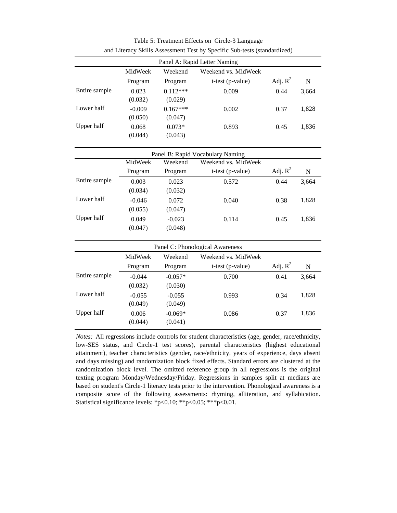|                   |          |            | Panel A: Rapid Letter Naming     |            |             |
|-------------------|----------|------------|----------------------------------|------------|-------------|
|                   | MidWeek  | Weekend    | Weekend vs. MidWeek              |            |             |
|                   | Program  | Program    | t-test (p-value)                 | Adj. $R^2$ | N           |
| Entire sample     | 0.023    | $0.112***$ | 0.009                            | 0.44       | 3,664       |
|                   | (0.032)  | (0.029)    |                                  |            |             |
| Lower half        | $-0.009$ | $0.167***$ | 0.002                            | 0.37       | 1,828       |
|                   | (0.050)  | (0.047)    |                                  |            |             |
| Upper half        | 0.068    | $0.073*$   | 0.893                            | 0.45       | 1,836       |
|                   | (0.044)  | (0.043)    |                                  |            |             |
|                   |          |            | Panel B: Rapid Vocabulary Naming |            |             |
|                   | MidWeek  | Weekend    | Weekend vs. MidWeek              |            |             |
|                   | Program  | Program    | t-test (p-value)                 | Adj. $R^2$ | $\mathbf N$ |
| Entire sample     | 0.003    | 0.023      | 0.572                            | 0.44       | 3,664       |
|                   | (0.034)  | (0.032)    |                                  |            |             |
| Lower half        | $-0.046$ | 0.072      | 0.040                            | 0.38       | 1,828       |
|                   | (0.055)  | (0.047)    |                                  |            |             |
| Upper half        | 0.049    | $-0.023$   | 0.114                            | 0.45       | 1,836       |
|                   | (0.047)  | (0.048)    |                                  |            |             |
|                   |          |            | Panel C: Phonological Awareness  |            |             |
|                   | MidWeek  | Weekend    | Weekend vs. MidWeek              |            |             |
|                   | Program  | Program    | t-test (p-value)                 | Adj. $R^2$ | N           |
| Entire sample     | $-0.044$ | $-0.057*$  | 0.700                            | 0.41       | 3,664       |
|                   | (0.032)  | (0.030)    |                                  |            |             |
| Lower half        | $-0.055$ | $-0.055$   | 0.993                            | 0.34       | 1,828       |
|                   | (0.049)  | (0.049)    |                                  |            |             |
| <b>Upper half</b> | 0.006    | $-0.069*$  | 0.086                            | 0.37       | 1,836       |
|                   | (0.044)  | (0.041)    |                                  |            |             |

Table 5: Treatment Effects on Circle-3 Language and Literacy Skills Assessment Test by Specific Sub-tests (standardized)

*Notes:* All regressions include controls for student characteristics (age, gender, race/ethnicity, low-SES status, and Circle-1 test scores), parental characteristics (highest educational attainment), teacher characteristics (gender, race/ethnicity, years of experience, days absent and days missing) and randomization block fixed effects. Standard errors are clustered at the randomization block level. The omitted reference group in all regressions is the original texting program Monday/Wednesday/Friday. Regressions in samples split at medians are based on student's Circle-1 literacy tests prior to the intervention. Phonological awareness is a composite score of the following assessments: rhyming, alliteration, and syllabication. Statistical significance levels: \*p<0.10; \*\*p<0.05; \*\*\*p<0.01.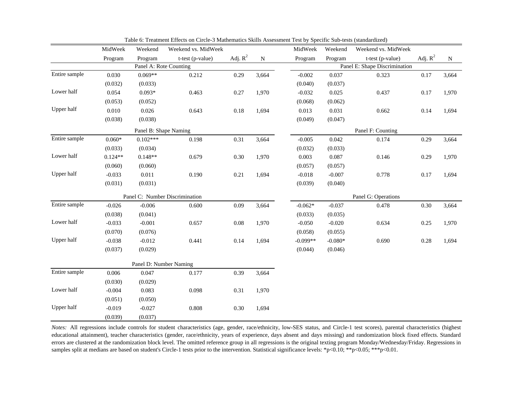|               | MidWeek   | Weekend                | Weekend vs. MidWeek            |            |           | MidWeek    | Weekend   | Weekend vs. MidWeek           |            |             |
|---------------|-----------|------------------------|--------------------------------|------------|-----------|------------|-----------|-------------------------------|------------|-------------|
|               | Program   | Program                | t-test (p-value)               | Adj. $R^2$ | ${\bf N}$ | Program    | Program   | t-test (p-value)              | Adj. $R^2$ | $\mathbf N$ |
|               |           | Panel A: Rote Counting |                                |            |           |            |           | Panel E: Shape Discrimination |            |             |
| Entire sample | 0.030     | $0.069**$              | 0.212                          | 0.29       | 3,664     | $-0.002$   | 0.037     | 0.323                         | 0.17       | 3,664       |
|               | (0.032)   | (0.033)                |                                |            |           | (0.040)    | (0.037)   |                               |            |             |
| Lower half    | 0.054     | $0.093*$               | 0.463                          | 0.27       | 1,970     | $-0.032$   | 0.025     | 0.437                         | 0.17       | 1,970       |
|               | (0.053)   | (0.052)                |                                |            |           | (0.068)    | (0.062)   |                               |            |             |
| Upper half    | 0.010     | 0.026                  | 0.643                          | $0.18\,$   | 1,694     | 0.013      | 0.031     | 0.662                         | 0.14       | 1,694       |
|               | (0.038)   | (0.038)                |                                |            |           | (0.049)    | (0.047)   |                               |            |             |
|               |           | Panel B: Shape Naming  |                                |            |           |            |           | Panel F: Counting             |            |             |
| Entire sample | $0.060*$  | $0.102***$             | 0.198                          | 0.31       | 3,664     | $-0.005$   | 0.042     | 0.174                         | 0.29       | 3,664       |
|               | (0.033)   | (0.034)                |                                |            |           | (0.032)    | (0.033)   |                               |            |             |
| Lower half    | $0.124**$ | $0.148**$              | 0.679                          | 0.30       | 1,970     | 0.003      | 0.087     | 0.146                         | 0.29       | 1,970       |
|               | (0.060)   | (0.060)                |                                |            |           | (0.057)    | (0.057)   |                               |            |             |
| Upper half    | $-0.033$  | 0.011                  | 0.190                          | 0.21       | 1,694     | $-0.018$   | $-0.007$  | 0.778                         | 0.17       | 1,694       |
|               | (0.031)   | (0.031)                |                                |            |           | (0.039)    | (0.040)   |                               |            |             |
|               |           |                        | Panel C: Number Discrimination |            |           |            |           | Panel G: Operations           |            |             |
| Entire sample | $-0.026$  | $-0.006$               | 0.600                          | 0.09       | 3,664     | $-0.062*$  | $-0.037$  | 0.478                         | 0.30       | 3,664       |
|               | (0.038)   | (0.041)                |                                |            |           | (0.033)    | (0.035)   |                               |            |             |
| Lower half    | $-0.033$  | $-0.001$               | 0.657                          | $0.08\,$   | 1,970     | $-0.050$   | $-0.020$  | 0.634                         | 0.25       | 1,970       |
|               | (0.070)   | (0.076)                |                                |            |           | (0.058)    | (0.055)   |                               |            |             |
| Upper half    | $-0.038$  | $-0.012$               | 0.441                          | 0.14       | 1,694     | $-0.099**$ | $-0.080*$ | 0.690                         | 0.28       | 1,694       |
|               | (0.037)   | (0.029)                |                                |            |           | (0.044)    | (0.046)   |                               |            |             |
|               |           | Panel D: Number Naming |                                |            |           |            |           |                               |            |             |
| Entire sample | 0.006     | 0.047                  | 0.177                          | 0.39       | 3,664     |            |           |                               |            |             |
|               | (0.030)   | (0.029)                |                                |            |           |            |           |                               |            |             |
| Lower half    | $-0.004$  | 0.083                  | 0.098                          | 0.31       | 1,970     |            |           |                               |            |             |
|               | (0.051)   | (0.050)                |                                |            |           |            |           |                               |            |             |
| Upper half    | $-0.019$  | $-0.027$               | 0.808                          | 0.30       | 1,694     |            |           |                               |            |             |
|               | (0.039)   | (0.037)                |                                |            |           |            |           |                               |            |             |

Table 6: Treatment Effects on Circle-3 Mathematics Skills Assessment Test by Specific Sub-tests (standardized)

*Notes:* All regressions include controls for student characteristics (age, gender, race/ethnicity, low-SES status, and Circle-1 test scores), parental characteristics (highest educational attainment), teacher characteristics (gender, race/ethnicity, years of experience, days absent and days missing) and randomization block fixed effects. Standard errors are clustered at the randomization block level. The omitted reference group in all regressions is the original texting program Monday/Wednesday/Friday. Regressions in samples split at medians are based on student's Circle-1 tests prior to the intervention. Statistical significance levels: \*p<0.01; \*\*p<0.05; \*\*\*p<0.01.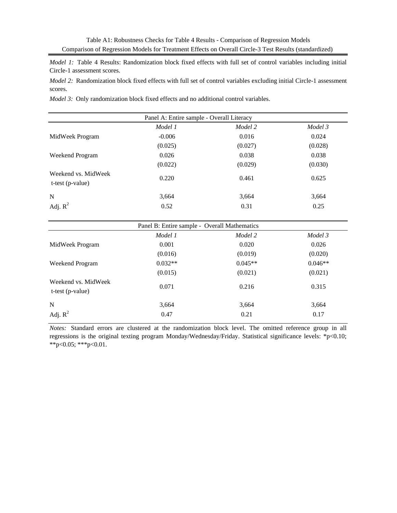*Model 1:* Table 4 Results: Randomization block fixed effects with full set of control variables including initial Circle-1 assessment scores.

*Model 2:* Randomization block fixed effects with full set of control variables excluding initial Circle-1 assessment scores.

*Model 3:* Only randomization block fixed effects and no additional control variables.

| Model 1<br>Model 2<br>Model 3 |         |                                           |  |  |  |  |  |
|-------------------------------|---------|-------------------------------------------|--|--|--|--|--|
| $-0.006$                      | 0.016   | 0.024                                     |  |  |  |  |  |
| (0.025)                       | (0.027) | (0.028)                                   |  |  |  |  |  |
| 0.026                         | 0.038   | 0.038                                     |  |  |  |  |  |
| (0.022)                       | (0.029) | (0.030)                                   |  |  |  |  |  |
| 0.220                         | 0.461   | 0.625                                     |  |  |  |  |  |
| 3,664                         | 3,664   | 3,664                                     |  |  |  |  |  |
| 0.52                          | 0.31    | 0.25                                      |  |  |  |  |  |
|                               |         | Panel A: Entire sample - Overall Literacy |  |  |  |  |  |

| Panel B: Entire sample - Overall Mathematics |           |           |           |  |  |  |
|----------------------------------------------|-----------|-----------|-----------|--|--|--|
|                                              | Model 1   | Model 2   | Model 3   |  |  |  |
| MidWeek Program                              | 0.001     | 0.020     | 0.026     |  |  |  |
|                                              | (0.016)   | (0.019)   | (0.020)   |  |  |  |
| Weekend Program                              | $0.032**$ | $0.045**$ | $0.046**$ |  |  |  |
|                                              | (0.015)   | (0.021)   | (0.021)   |  |  |  |
| Weekend vs. MidWeek<br>$t-test (p-value)$    | 0.071     | 0.216     | 0.315     |  |  |  |
| N                                            | 3,664     | 3,664     | 3,664     |  |  |  |
| Adj. $R^2$                                   | 0.47      | 0.21      | 0.17      |  |  |  |

*Notes:* Standard errors are clustered at the randomization block level. The omitted reference group in all regressions is the original texting program Monday/Wednesday/Friday. Statistical significance levels: \*p<0.10; \*\*p<0.05; \*\*\*p<0.01.